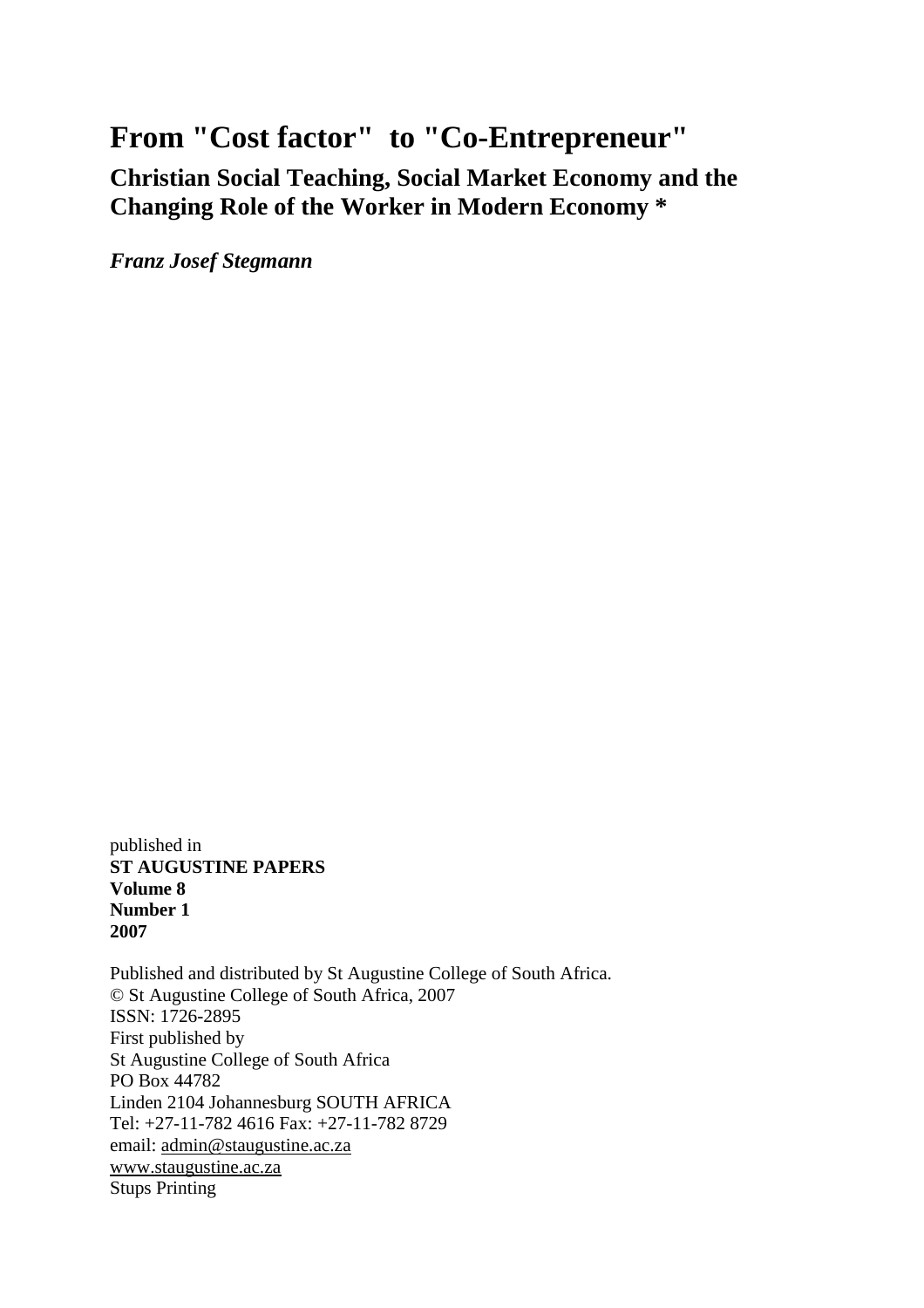# **From "Cost factor" to "Co-Entrepreneur"**

**Christian Social Teaching, Social Market Economy and the Changing Role of the Worker in Modern Economy \***

*Franz Josef Stegmann*

published in **ST AUGUSTINE PAPERS Volume 8 Number 1 2007**

Published and distributed by St Augustine College of South Africa. © St Augustine College of South Africa, 2007 ISSN: 1726-2895 First published by St Augustine College of South Africa PO Box 44782 Linden 2104 Johannesburg SOUTH AFRICA Tel: +27-11-782 4616 Fax: +27-11-782 8729 email: [admin@staugustine.ac.za](mailto:admin@staugustine.ac.za) [www.staugustine.ac.za](http://www.staugustine.ac.za/) Stups Printing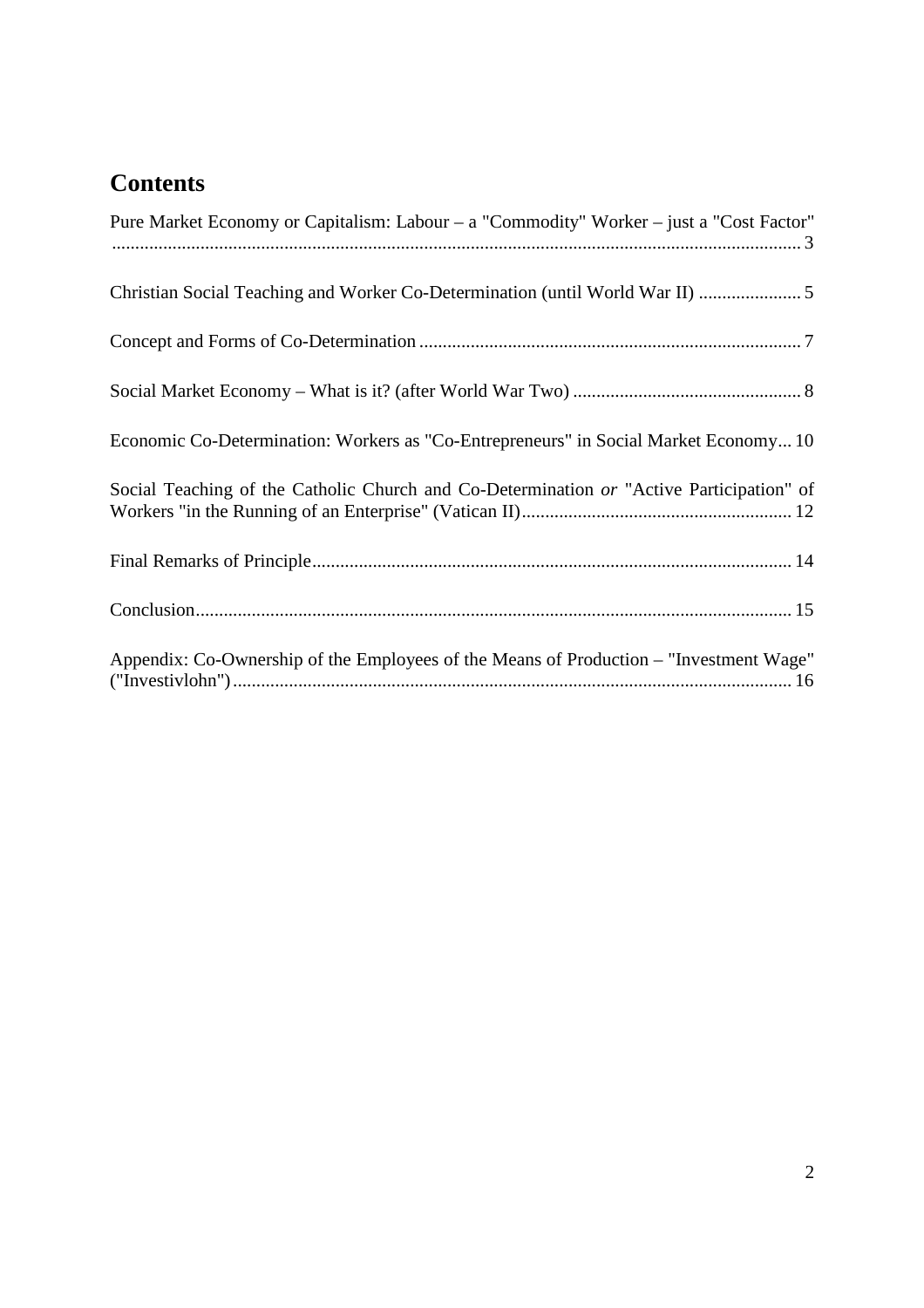# **Contents**

| Pure Market Economy or Capitalism: Labour – a "Commodity" Worker – just a "Cost Factor"  |
|------------------------------------------------------------------------------------------|
|                                                                                          |
|                                                                                          |
|                                                                                          |
| Economic Co-Determination: Workers as "Co-Entrepreneurs" in Social Market Economy 10     |
| Social Teaching of the Catholic Church and Co-Determination or "Active Participation" of |
|                                                                                          |
|                                                                                          |
| Appendix: Co-Ownership of the Employees of the Means of Production – "Investment Wage"   |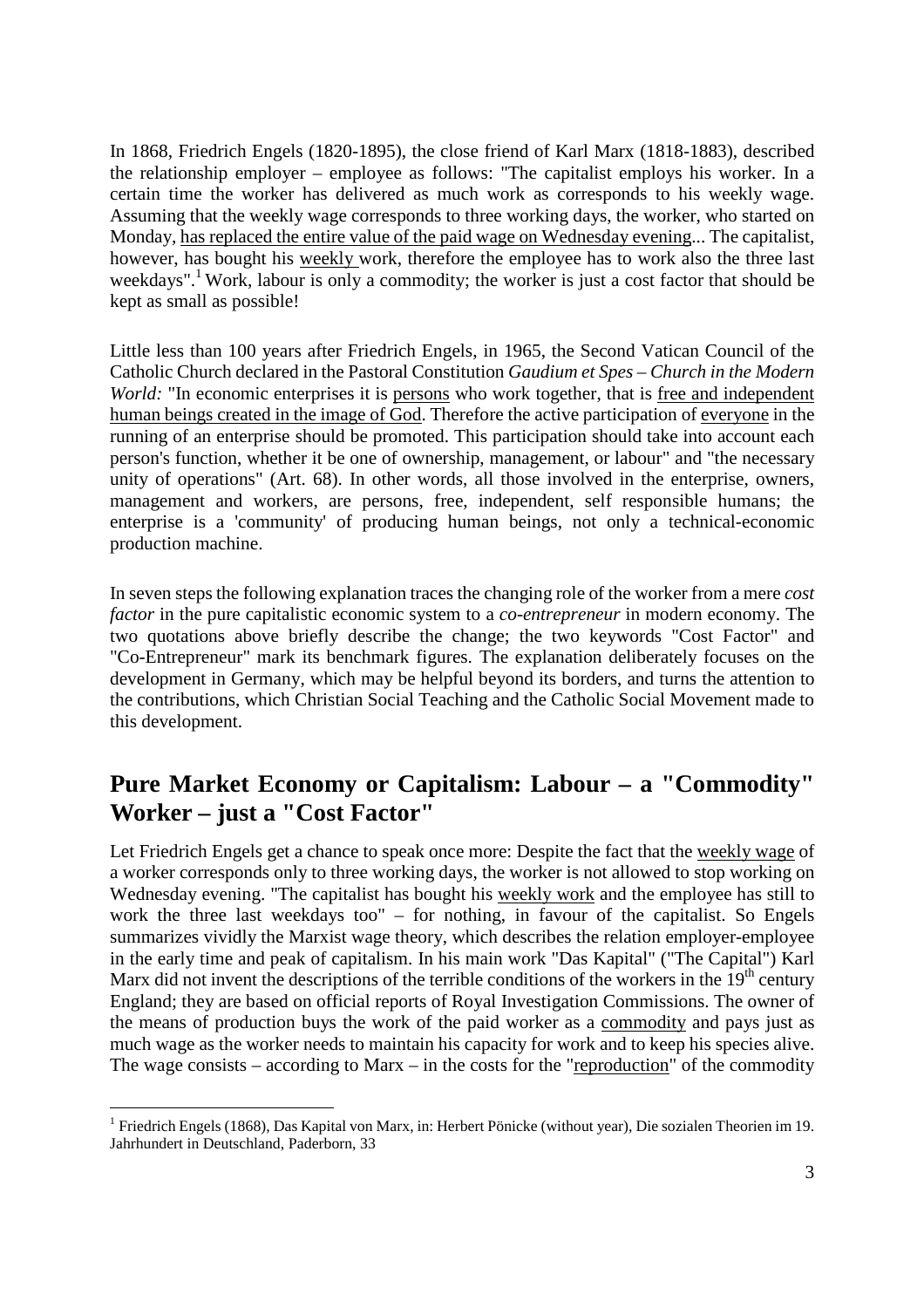<span id="page-2-0"></span>In 1868, Friedrich Engels (1820-1895), the close friend of Karl Marx (1818-1883), described the relationship employer – employee as follows: "The capitalist employs his worker. In a certain time the worker has delivered as much work as corresponds to his weekly wage. Assuming that the weekly wage corresponds to three working days, the worker, who started on Monday, has replaced the entire value of the paid wage on Wednesday evening... The capitalist, however, has bought his weekly work, therefore the employee has to work also the three last weekdays".<sup>[1](#page-2-1)</sup> Work, labour is only a commodity; the worker is just a cost factor that should be kept as small as possible!

Little less than 100 years after Friedrich Engels, in 1965, the Second Vatican Council of the Catholic Church declared in the Pastoral Constitution *Gaudium et Spes – Church in the Modern World:* "In economic enterprises it is persons who work together, that is free and independent human beings created in the image of God. Therefore the active participation of everyone in the running of an enterprise should be promoted. This participation should take into account each person's function, whether it be one of ownership, management, or labour" and "the necessary unity of operations" (Art. 68). In other words, all those involved in the enterprise, owners, management and workers, are persons, free, independent, self responsible humans; the enterprise is a 'community' of producing human beings, not only a technical-economic production machine.

In seven steps the following explanation traces the changing role of the worker from a mere *cost factor* in the pure capitalistic economic system to a *co-entrepreneur* in modern economy. The two quotations above briefly describe the change; the two keywords "Cost Factor" and "Co-Entrepreneur" mark its benchmark figures. The explanation deliberately focuses on the development in Germany, which may be helpful beyond its borders, and turns the attention to the contributions, which Christian Social Teaching and the Catholic Social Movement made to this development.

### **Pure Market Economy or Capitalism: Labour – a "Commodity" Worker – just a "Cost Factor"**

Let Friedrich Engels get a chance to speak once more: Despite the fact that the weekly wage of a worker corresponds only to three working days, the worker is not allowed to stop working on Wednesday evening. "The capitalist has bought his weekly work and the employee has still to work the three last weekdays too" – for nothing, in favour of the capitalist. So Engels summarizes vividly the Marxist wage theory, which describes the relation employer-employee in the early time and peak of capitalism. In his main work "Das Kapital" ("The Capital") Karl Marx did not invent the descriptions of the terrible conditions of the workers in the  $19<sup>th</sup>$  century England; they are based on official reports of Royal Investigation Commissions. The owner of the means of production buys the work of the paid worker as a commodity and pays just as much wage as the worker needs to maintain his capacity for work and to keep his species alive. The wage consists – according to Marx – in the costs for the "reproduction" of the commodity

<span id="page-2-1"></span><sup>&</sup>lt;sup>1</sup> Friedrich Engels (1868), Das Kapital von Marx, in: Herbert Pönicke (without year), Die sozialen Theorien im 19. Jahrhundert in Deutschland, Paderborn, 33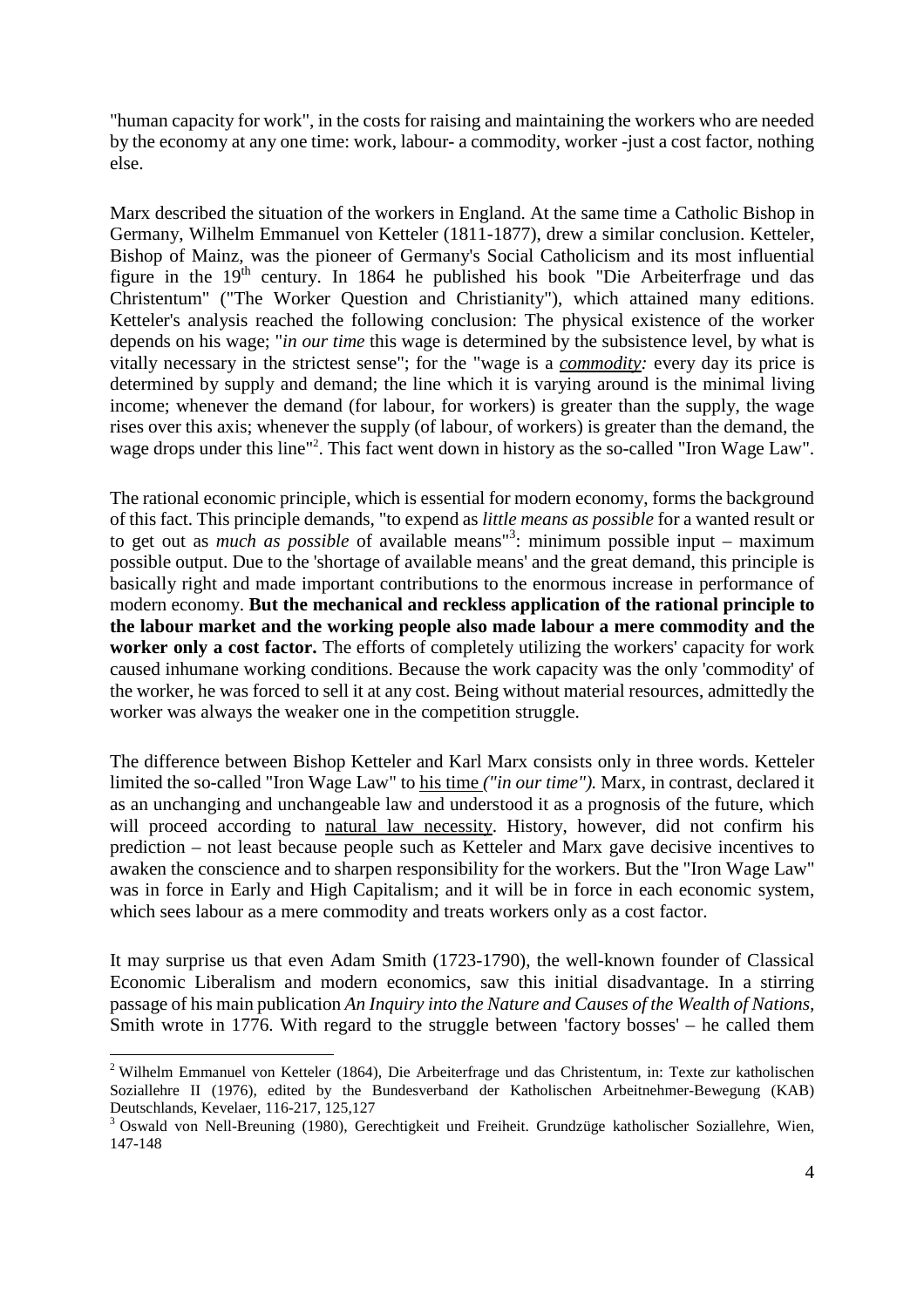"human capacity for work", in the costs for raising and maintaining the workers who are needed by the economy at any one time: work, labour- a commodity, worker -just a cost factor, nothing else.

Marx described the situation of the workers in England. At the same time a Catholic Bishop in Germany, Wilhelm Emmanuel von Ketteler (1811-1877), drew a similar conclusion. Ketteler, Bishop of Mainz, was the pioneer of Germany's Social Catholicism and its most influential figure in the  $19<sup>th</sup>$  century. In 1864 he published his book "Die Arbeiterfrage und das Christentum" ("The Worker Question and Christianity"), which attained many editions. Ketteler's analysis reached the following conclusion: The physical existence of the worker depends on his wage; "*in our time* this wage is determined by the subsistence level, by what is vitally necessary in the strictest sense"; for the "wage is a *commodity:* every day its price is determined by supply and demand; the line which it is varying around is the minimal living income; whenever the demand (for labour, for workers) is greater than the supply, the wage rises over this axis; whenever the supply (of labour, of workers) is greater than the demand, the wagedrops under this line"<sup>2</sup>. This fact went down in history as the so-called "Iron Wage Law".

The rational economic principle, which is essential for modern economy, forms the background of this fact. This principle demands, "to expend as *little means as possible* for a wanted result or to get out as *much as possible* of available means<sup>1[3](#page-3-1)</sup>: minimum possible input – maximum possible output. Due to the 'shortage of available means' and the great demand, this principle is basically right and made important contributions to the enormous increase in performance of modern economy. **But the mechanical and reckless application of the rational principle to the labour market and the working people also made labour a mere commodity and the worker only a cost factor.** The efforts of completely utilizing the workers' capacity for work caused inhumane working conditions. Because the work capacity was the only 'commodity' of the worker, he was forced to sell it at any cost. Being without material resources, admittedly the worker was always the weaker one in the competition struggle.

The difference between Bishop Ketteler and Karl Marx consists only in three words. Ketteler limited the so-called "Iron Wage Law" to his time *("in our time").* Marx, in contrast, declared it as an unchanging and unchangeable law and understood it as a prognosis of the future, which will proceed according to natural law necessity. History, however, did not confirm his prediction – not least because people such as Ketteler and Marx gave decisive incentives to awaken the conscience and to sharpen responsibility for the workers. But the "Iron Wage Law" was in force in Early and High Capitalism; and it will be in force in each economic system, which sees labour as a mere commodity and treats workers only as a cost factor.

It may surprise us that even Adam Smith (1723-1790), the well-known founder of Classical Economic Liberalism and modern economics, saw this initial disadvantage. In a stirring passage of his main publication *An Inquiry into the Nature and Causes of the Wealth of Nations,* Smith wrote in 1776. With regard to the struggle between 'factory bosses' – he called them

<span id="page-3-0"></span><sup>&</sup>lt;sup>2</sup> Wilhelm Emmanuel von Ketteler (1864), Die Arbeiterfrage und das Christentum, in: Texte zur katholischen Soziallehre II (1976), edited by the Bundesverband der Katholischen Arbeitnehmer-Bewegung (KAB) Deutschlands, Kevelaer, 116-217, 125,127

<span id="page-3-1"></span><sup>3</sup> Oswald von Nell-Breuning (1980), Gerechtigkeit und Freiheit. Grundzüge katholischer Soziallehre, Wien, 147-148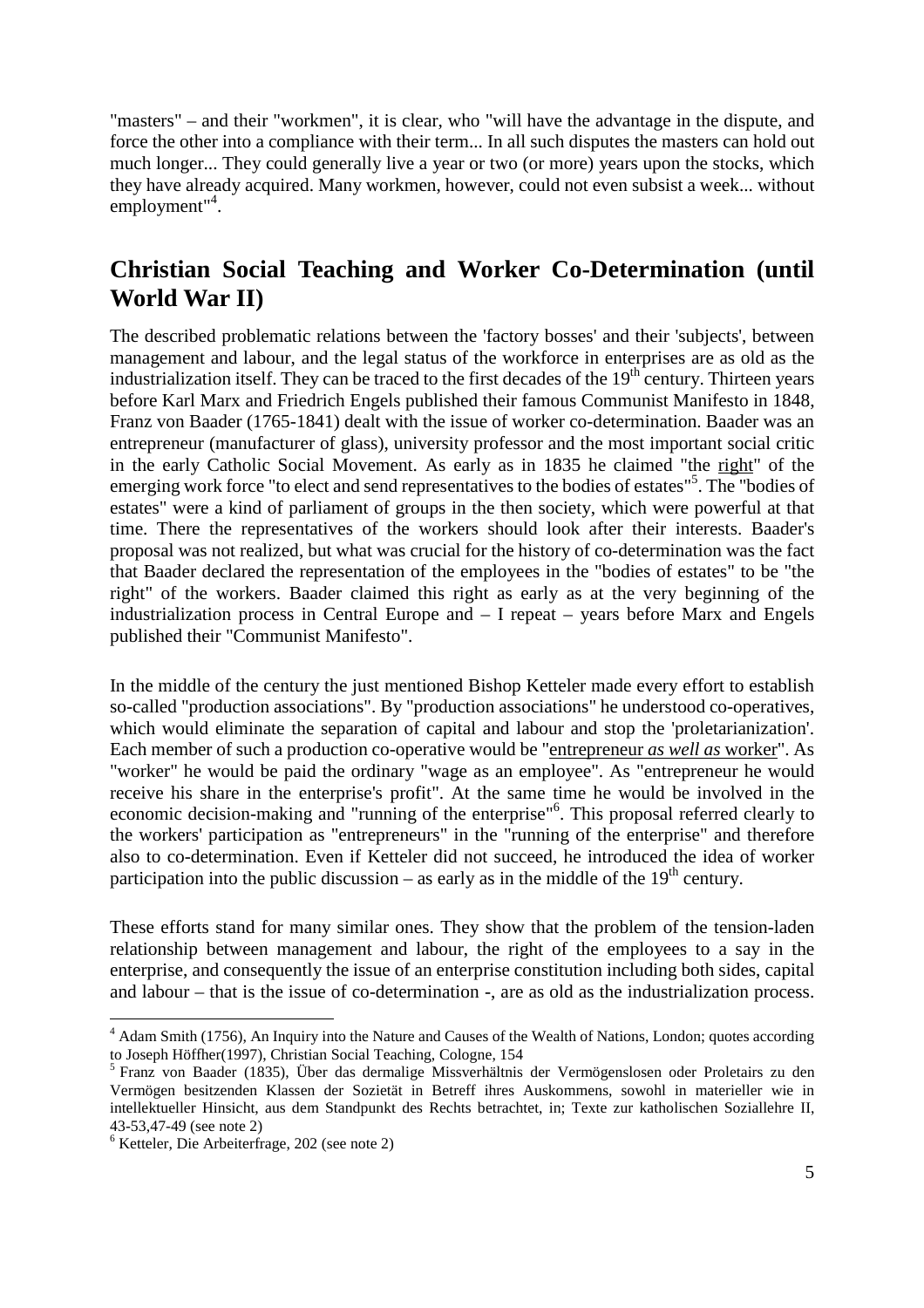<span id="page-4-0"></span>"masters" – and their "workmen", it is clear, who "will have the advantage in the dispute, and force the other into a compliance with their term... In all such disputes the masters can hold out much longer... They could generally live a year or two (or more) years upon the stocks, which they have already acquired. Many workmen, however, could not even subsist a week... without employment"<sup>[4](#page-4-1)</sup>.

### **Christian Social Teaching and Worker Co-Determination (until World War II)**

The described problematic relations between the 'factory bosses' and their 'subjects', between management and labour, and the legal status of the workforce in enterprises are as old as the industrialization itself. They can be traced to the first decades of the  $19<sup>th</sup>$  century. Thirteen years before Karl Marx and Friedrich Engels published their famous Communist Manifesto in 1848, Franz von Baader (1765-1841) dealt with the issue of worker co-determination. Baader was an entrepreneur (manufacturer of glass), university professor and the most important social critic in the early Catholic Social Movement. As early as in 1835 he claimed "the right" of the emerging work force "to elect and send representatives to the bodies of estates"<sup>5</sup>[.](#page-4-2) The "bodies of estates" were a kind of parliament of groups in the then society, which were powerful at that time. There the representatives of the workers should look after their interests. Baader's proposal was not realized, but what was crucial for the history of co-determination was the fact that Baader declared the representation of the employees in the "bodies of estates" to be "the right" of the workers. Baader claimed this right as early as at the very beginning of the industrialization process in Central Europe and – I repeat – years before Marx and Engels published their "Communist Manifesto".

In the middle of the century the just mentioned Bishop Ketteler made every effort to establish so-called "production associations". By "production associations" he understood co-operatives, which would eliminate the separation of capital and labour and stop the 'proletarianization'. Each member of such a production co-operative would be "entrepreneur *as well as* worker". As "worker" he would be paid the ordinary "wage as an employee". As "entrepreneur he would receive his share in the enterprise's profit". At the same time he would be involved in the economic decision-making and "running of the enterprise"<sup>6</sup>[.](#page-4-3) This proposal referred clearly to the workers' participation as "entrepreneurs" in the "running of the enterprise" and therefore also to co-determination. Even if Ketteler did not succeed, he introduced the idea of worker participation into the public discussion – as early as in the middle of the  $19<sup>th</sup>$  century.

These efforts stand for many similar ones. They show that the problem of the tension-laden relationship between management and labour, the right of the employees to a say in the enterprise, and consequently the issue of an enterprise constitution including both sides, capital and labour – that is the issue of co-determination -, are as old as the industrialization process.

<span id="page-4-1"></span><sup>&</sup>lt;sup>4</sup> Adam Smith (1756), An Inquiry into the Nature and Causes of the Wealth of Nations, London; quotes according to Joseph Höffher(1997), Christian Social Teaching, Cologne, 154

<span id="page-4-2"></span><sup>&</sup>lt;sup>5</sup> Franz von Baader (1835), Über das dermalige Missverhältnis der Vermögenslosen oder Proletairs zu den Vermögen besitzenden Klassen der Sozietät in Betreff ihres Auskommens, sowohl in materieller wie in intellektueller Hinsicht, aus dem Standpunkt des Rechts betrachtet, in; Texte zur katholischen Soziallehre II, 43-53,47-49 (see note 2)

<span id="page-4-3"></span><sup>6</sup> Ketteler, Die Arbeiterfrage, 202 (see note 2)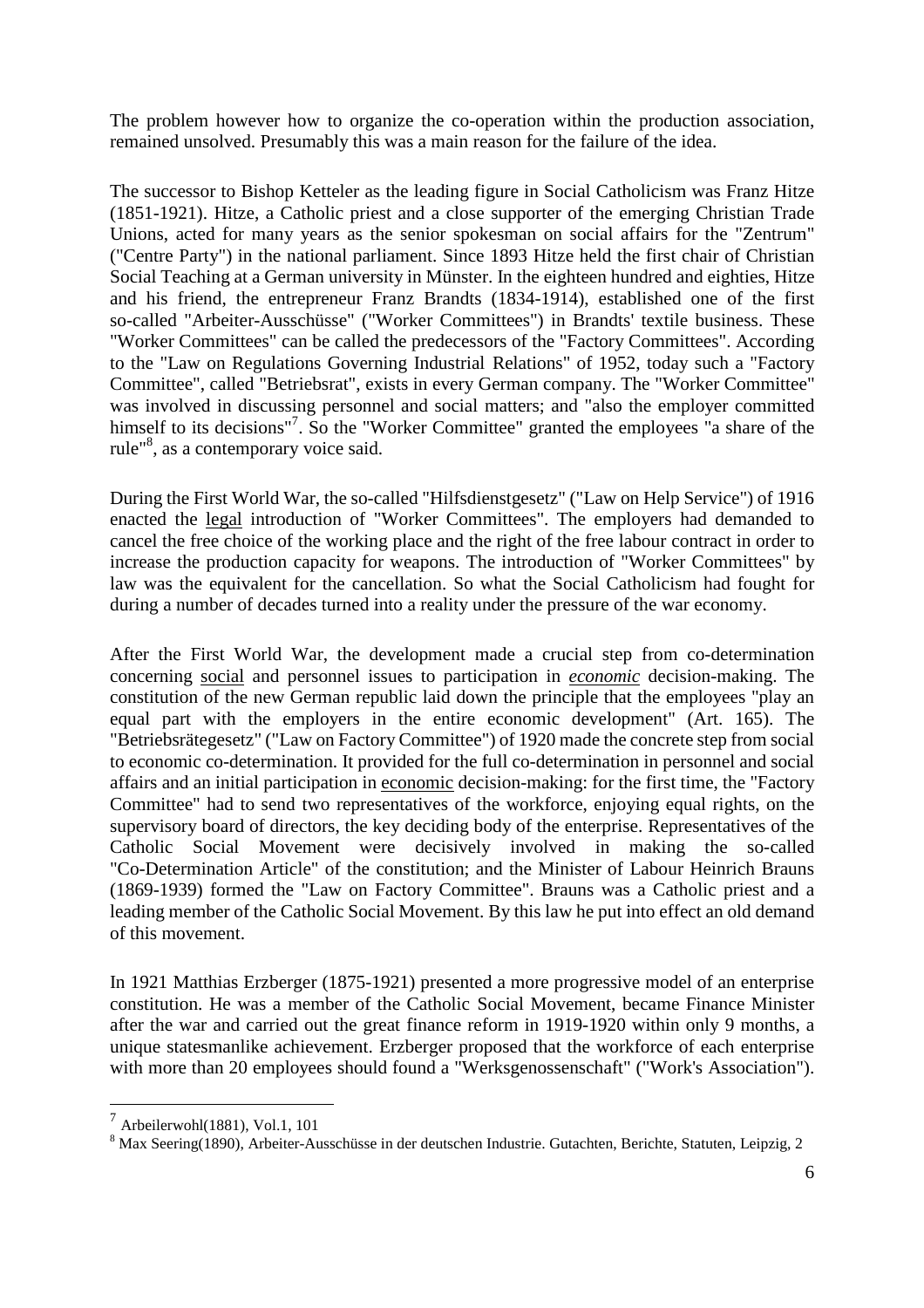The problem however how to organize the co-operation within the production association, remained unsolved. Presumably this was a main reason for the failure of the idea.

The successor to Bishop Ketteler as the leading figure in Social Catholicism was Franz Hitze (1851-1921). Hitze, a Catholic priest and a close supporter of the emerging Christian Trade Unions, acted for many years as the senior spokesman on social affairs for the "Zentrum" ("Centre Party") in the national parliament. Since 1893 Hitze held the first chair of Christian Social Teaching at a German university in Münster. In the eighteen hundred and eighties, Hitze and his friend, the entrepreneur Franz Brandts (1834-1914), established one of the first so-called "Arbeiter-Ausschüsse" ("Worker Committees") in Brandts' textile business. These "Worker Committees" can be called the predecessors of the "Factory Committees". According to the "Law on Regulations Governing Industrial Relations" of 1952, today such a "Factory Committee", called "Betriebsrat", exists in every German company. The "Worker Committee" was involved in discussing personnel and social matters; and "also the employer committed himself to its decisions"<sup>[7](#page-5-0)</sup>. So the "Worker Committee" granted the employees "a share of the rule<sup>"[8](#page-5-1)</sup>, as a contemporary voice said.

During the First World War, the so-called "Hilfsdienstgesetz" ("Law on Help Service") of 1916 enacted the legal introduction of "Worker Committees". The employers had demanded to cancel the free choice of the working place and the right of the free labour contract in order to increase the production capacity for weapons. The introduction of "Worker Committees" by law was the equivalent for the cancellation. So what the Social Catholicism had fought for during a number of decades turned into a reality under the pressure of the war economy.

After the First World War, the development made a crucial step from co-determination concerning social and personnel issues to participation in *economic* decision-making. The constitution of the new German republic laid down the principle that the employees "play an equal part with the employers in the entire economic development" (Art. 165). The "Betriebsrätegesetz" ("Law on Factory Committee") of 1920 made the concrete step from social to economic co-determination. It provided for the full co-determination in personnel and social affairs and an initial participation in economic decision-making: for the first time, the "Factory Committee" had to send two representatives of the workforce, enjoying equal rights, on the supervisory board of directors, the key deciding body of the enterprise. Representatives of the Catholic Social Movement were decisively involved in making the so-called "Co-Determination Article" of the constitution; and the Minister of Labour Heinrich Brauns (1869-1939) formed the "Law on Factory Committee". Brauns was a Catholic priest and a leading member of the Catholic Social Movement. By this law he put into effect an old demand of this movement.

In 1921 Matthias Erzberger (1875-1921) presented a more progressive model of an enterprise constitution. He was a member of the Catholic Social Movement, became Finance Minister after the war and carried out the great finance reform in 1919-1920 within only 9 months, a unique statesmanlike achievement. Erzberger proposed that the workforce of each enterprise with more than 20 employees should found a "Werksgenossenschaft" ("Work's Association").

<span id="page-5-0"></span><sup>7</sup> Arbeilerwohl(1881), Vol.1, 101

<span id="page-5-1"></span><sup>8</sup> Max Seering(1890), Arbeiter-Ausschüsse in der deutschen Industrie. Gutachten, Berichte, Statuten, Leipzig, 2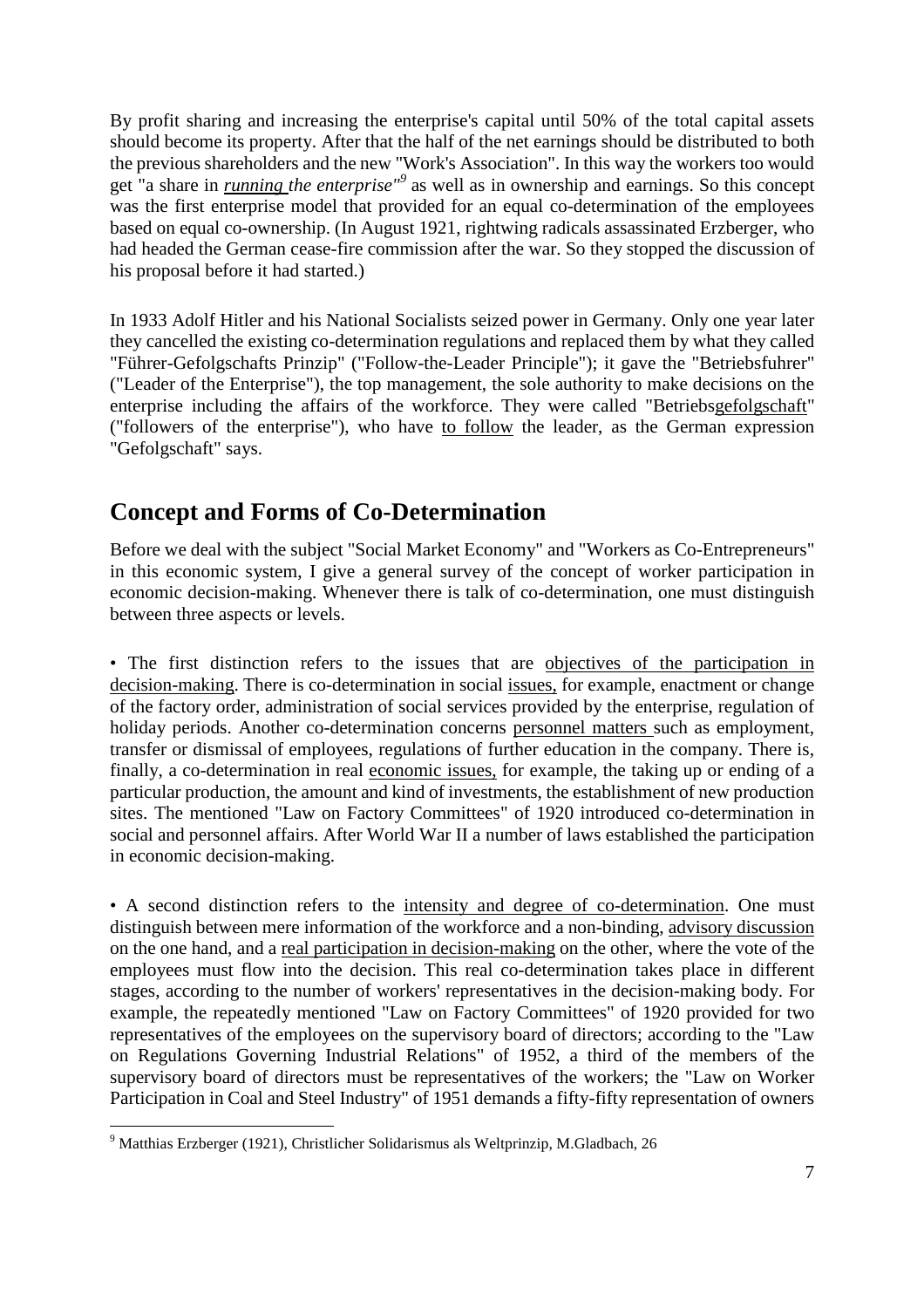<span id="page-6-0"></span>By profit sharing and increasing the enterprise's capital until 50% of the total capital assets should become its property. After that the half of the net earnings should be distributed to both the previous shareholders and the new "Work's Association". In this way the workers too would get "a share in *running the enterprise"[9](#page-6-1)* as well as in ownership and earnings. So this concept was the first enterprise model that provided for an equal co-determination of the employees based on equal co-ownership. (In August 1921, rightwing radicals assassinated Erzberger, who had headed the German cease-fire commission after the war. So they stopped the discussion of his proposal before it had started.)

In 1933 Adolf Hitler and his National Socialists seized power in Germany. Only one year later they cancelled the existing co-determination regulations and replaced them by what they called "Führer-Gefolgschafts Prinzip" ("Follow-the-Leader Principle"); it gave the "Betriebsfuhrer" ("Leader of the Enterprise"), the top management, the sole authority to make decisions on the enterprise including the affairs of the workforce. They were called "Betriebsgefolgschaft" ("followers of the enterprise"), who have to follow the leader, as the German expression "Gefolgschaft" says.

### **Concept and Forms of Co-Determination**

Before we deal with the subject "Social Market Economy" and "Workers as Co-Entrepreneurs" in this economic system, I give a general survey of the concept of worker participation in economic decision-making. Whenever there is talk of co-determination, one must distinguish between three aspects or levels.

• The first distinction refers to the issues that are objectives of the participation in decision-making. There is co-determination in social issues, for example, enactment or change of the factory order, administration of social services provided by the enterprise, regulation of holiday periods. Another co-determination concerns personnel matters such as employment, transfer or dismissal of employees, regulations of further education in the company. There is, finally, a co-determination in real economic issues, for example, the taking up or ending of a particular production, the amount and kind of investments, the establishment of new production sites. The mentioned "Law on Factory Committees" of 1920 introduced co-determination in social and personnel affairs. After World War II a number of laws established the participation in economic decision-making.

• A second distinction refers to the intensity and degree of co-determination. One must distinguish between mere information of the workforce and a non-binding, advisory discussion on the one hand, and a real participation in decision-making on the other, where the vote of the employees must flow into the decision. This real co-determination takes place in different stages, according to the number of workers' representatives in the decision-making body. For example, the repeatedly mentioned "Law on Factory Committees" of 1920 provided for two representatives of the employees on the supervisory board of directors; according to the "Law on Regulations Governing Industrial Relations" of 1952, a third of the members of the supervisory board of directors must be representatives of the workers; the "Law on Worker Participation in Coal and Steel Industry" of 1951 demands a fifty-fifty representation of owners

<span id="page-6-1"></span><sup>9</sup> Matthias Erzberger (1921), Christlicher Solidarismus als Weltprinzip, M.Gladbach, 26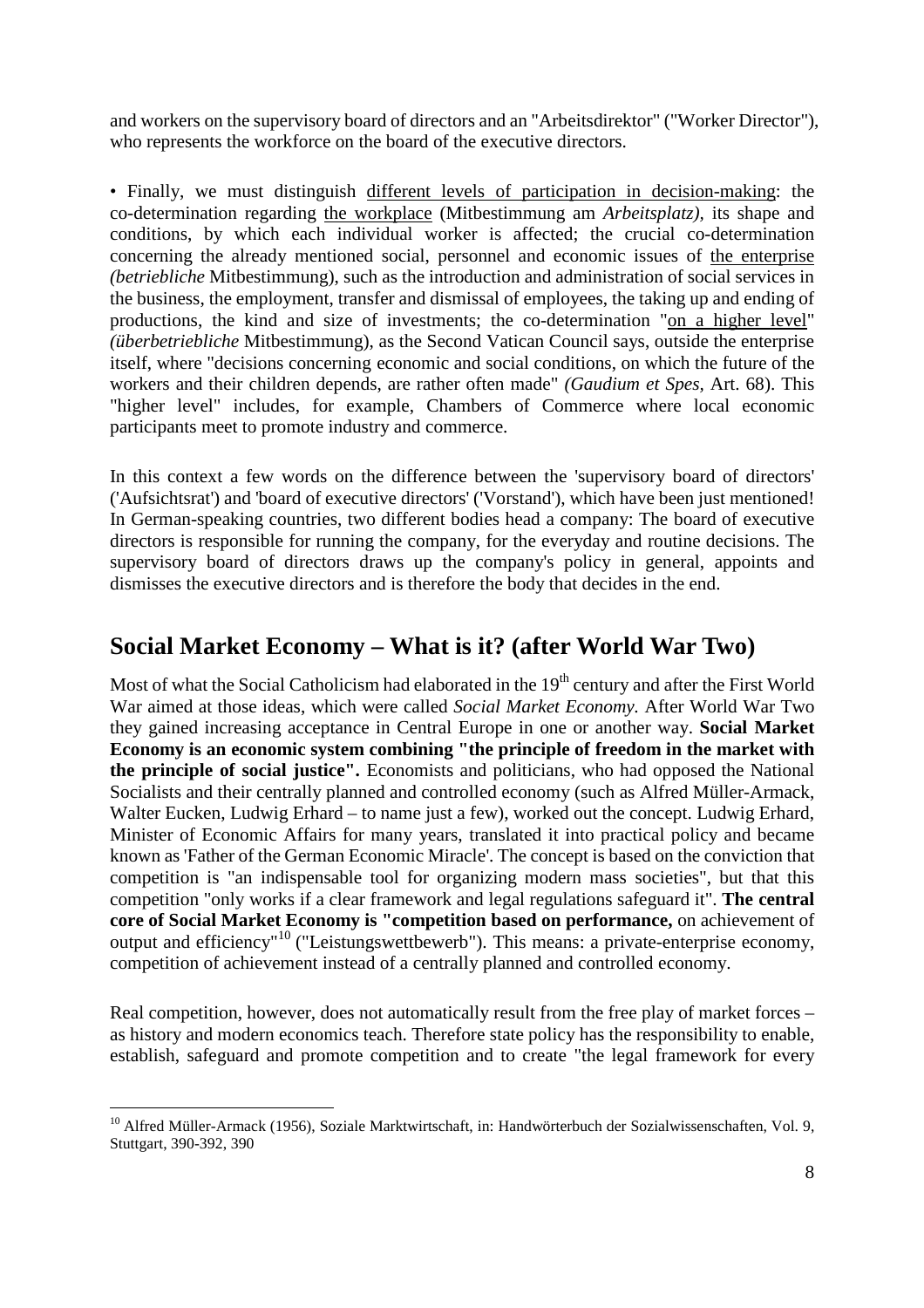<span id="page-7-0"></span>and workers on the supervisory board of directors and an "Arbeitsdirektor" ("Worker Director"), who represents the workforce on the board of the executive directors.

• Finally, we must distinguish different levels of participation in decision-making: the co-determination regarding the workplace (Mitbestimmung am *Arbeitsplatz),* its shape and conditions, by which each individual worker is affected; the crucial co-determination concerning the already mentioned social, personnel and economic issues of the enterprise *(betriebliche* Mitbestimmung), such as the introduction and administration of social services in the business, the employment, transfer and dismissal of employees, the taking up and ending of productions, the kind and size of investments; the co-determination "on a higher level" *(überbetriebliche* Mitbestimmung), as the Second Vatican Council says, outside the enterprise itself, where "decisions concerning economic and social conditions, on which the future of the workers and their children depends, are rather often made" *(Gaudium et Spes,* Art. 68). This "higher level" includes, for example, Chambers of Commerce where local economic participants meet to promote industry and commerce.

In this context a few words on the difference between the 'supervisory board of directors' ('Aufsichtsrat') and 'board of executive directors' ('Vorstand'), which have been just mentioned! In German-speaking countries, two different bodies head a company: The board of executive directors is responsible for running the company, for the everyday and routine decisions. The supervisory board of directors draws up the company's policy in general, appoints and dismisses the executive directors and is therefore the body that decides in the end.

### **Social Market Economy – What is it? (after World War Two)**

Most of what the Social Catholicism had elaborated in the 19<sup>th</sup> century and after the First World War aimed at those ideas, which were called *Social Market Economy.* After World War Two they gained increasing acceptance in Central Europe in one or another way. **Social Market Economy is an economic system combining "the principle of freedom in the market with the principle of social justice".** Economists and politicians, who had opposed the National Socialists and their centrally planned and controlled economy (such as Alfred Müller-Armack, Walter Eucken, Ludwig Erhard – to name just a few), worked out the concept. Ludwig Erhard, Minister of Economic Affairs for many years, translated it into practical policy and became known as 'Father of the German Economic Miracle'. The concept is based on the conviction that competition is "an indispensable tool for organizing modern mass societies", but that this competition "only works if a clear framework and legal regulations safeguard it". **The central core of Social Market Economy is "competition based on performance,** on achievement of output and efficiency<sup>"[10](#page-7-1)</sup> ("Leistungswettbewerb"). This means: a private-enterprise economy, competition of achievement instead of a centrally planned and controlled economy.

Real competition, however, does not automatically result from the free play of market forces – as history and modern economics teach. Therefore state policy has the responsibility to enable, establish, safeguard and promote competition and to create "the legal framework for every

<span id="page-7-1"></span><sup>&</sup>lt;sup>10</sup> Alfred Müller-Armack (1956), Soziale Marktwirtschaft, in: Handwörterbuch der Sozialwissenschaften, Vol. 9, Stuttgart, 390-392, 390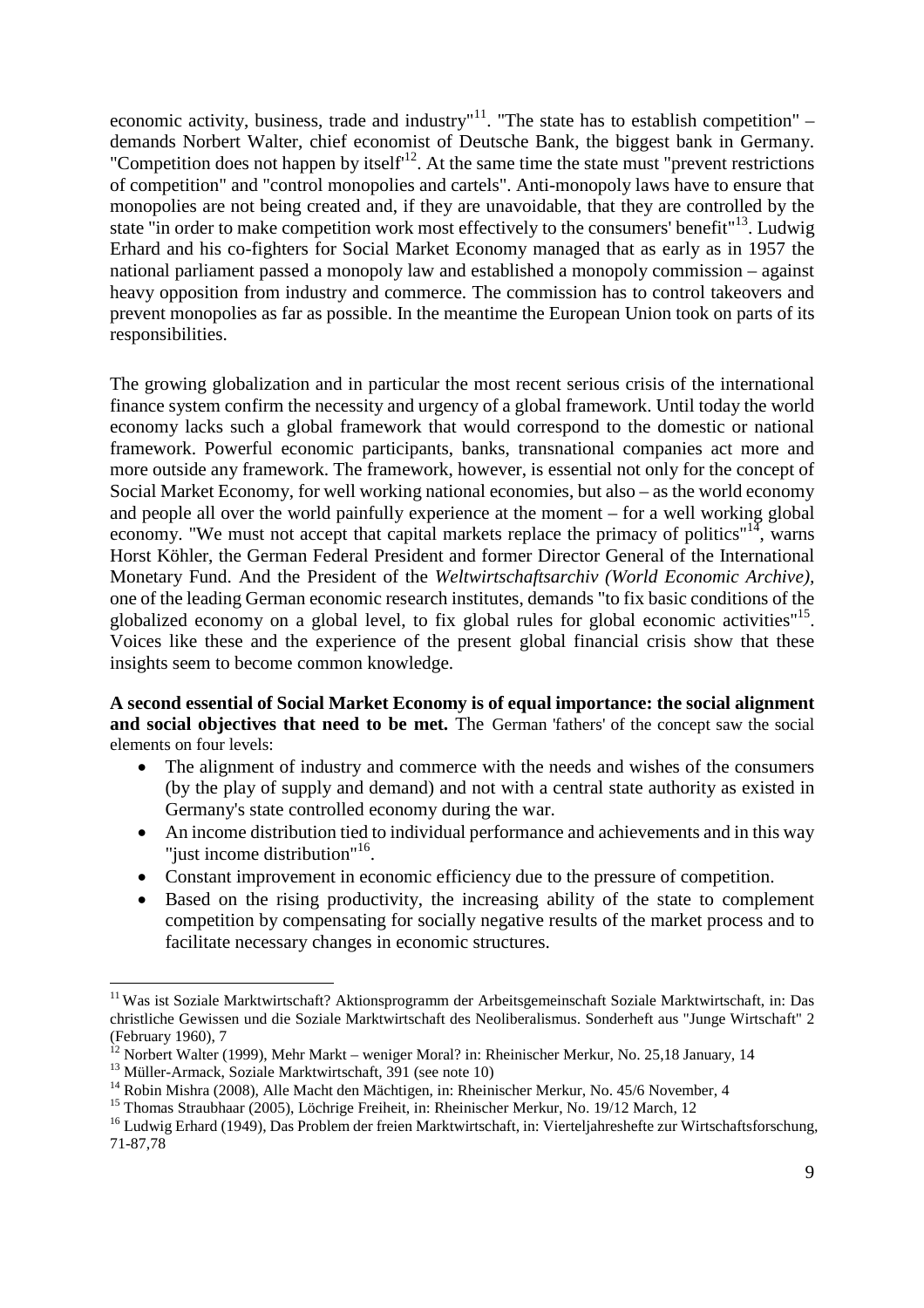economic activity, business, trade and industry"<sup>[11](#page-8-0)</sup>. "The state has to establish competition" – demands Norbert Walter, chief economist of Deutsche Bank, the biggest bank in Germany. "Competition does not happen by itself<sup>[12](#page-8-1)</sup>. At the same time the state must "prevent restrictions" of competition" and "control monopolies and cartels". Anti-monopoly laws have to ensure that monopolies are not being created and, if they are unavoidable, that they are controlled by the state "in order to make competition work most effectively to the consumers' benefit"[13](#page-8-2). Ludwig Erhard and his co-fighters for Social Market Economy managed that as early as in 1957 the national parliament passed a monopoly law and established a monopoly commission – against heavy opposition from industry and commerce. The commission has to control takeovers and prevent monopolies as far as possible. In the meantime the European Union took on parts of its responsibilities.

The growing globalization and in particular the most recent serious crisis of the international finance system confirm the necessity and urgency of a global framework. Until today the world economy lacks such a global framework that would correspond to the domestic or national framework. Powerful economic participants, banks, transnational companies act more and more outside any framework. The framework, however, is essential not only for the concept of Social Market Economy, for well working national economies, but also – as the world economy and people all over the world painfully experience at the moment – for a well working global economy. "We must not accept that capital markets replace the primacy of politics"<sup>[14](#page-8-3)</sup>, warns Horst Köhler, the German Federal President and former Director General of the International Monetary Fund. And the President of the *Weltwirtschaftsarchiv (World Economic Archive),* one of the leading German economic research institutes, demands "to fix basic conditions of the globalized economy on a global level, to fix global rules for global economic activities"<sup>[15](#page-8-4)</sup>. Voices like these and the experience of the present global financial crisis show that these insights seem to become common knowledge.

**A second essential of Social Market Economy is of equal importance: the social alignment and social objectives that need to be met.** The German 'fathers' of the concept saw the social elements on four levels:

- The alignment of industry and commerce with the needs and wishes of the consumers (by the play of supply and demand) and not with a central state authority as existed in Germany's state controlled economy during the war.
- An income distribution tied to individual performance and achievements and in this way "just income distribution"<sup>[16](#page-8-5)</sup>.
- Constant improvement in economic efficiency due to the pressure of competition.
- Based on the rising productivity, the increasing ability of the state to complement competition by compensating for socially negative results of the market process and to facilitate necessary changes in economic structures.

<span id="page-8-0"></span><sup>&</sup>lt;sup>11</sup> Was ist Soziale Marktwirtschaft? Aktionsprogramm der Arbeitsgemeinschaft Soziale Marktwirtschaft, in: Das christliche Gewissen und die Soziale Marktwirtschaft des Neoliberalismus. Sonderheft aus "Junge Wirtschaft" 2 (February 1960), 7

<span id="page-8-2"></span><span id="page-8-1"></span> $12$  Norbert Walter (1999), Mehr Markt – weniger Moral? in: Rheinischer Merkur, No. 25,18 January, 14

<sup>&</sup>lt;sup>13</sup> Müller-Armack, Soziale Marktwirtschaft,  $391$  (see note 10)

<span id="page-8-3"></span><sup>&</sup>lt;sup>14</sup> Robin Mishra (2008), Alle Macht den Mächtigen, in: Rheinischer Merkur, No. 45/6 November, 4

<span id="page-8-5"></span><span id="page-8-4"></span><sup>15</sup> Thomas Straubhaar (2005), Löchrige Freiheit, in: Rheinischer Merkur, No. 19/12 March, 12

<sup>&</sup>lt;sup>16</sup> Ludwig Erhard (1949), Das Problem der freien Marktwirtschaft, in: Vierteljahreshefte zur Wirtschaftsforschung, 71-87,78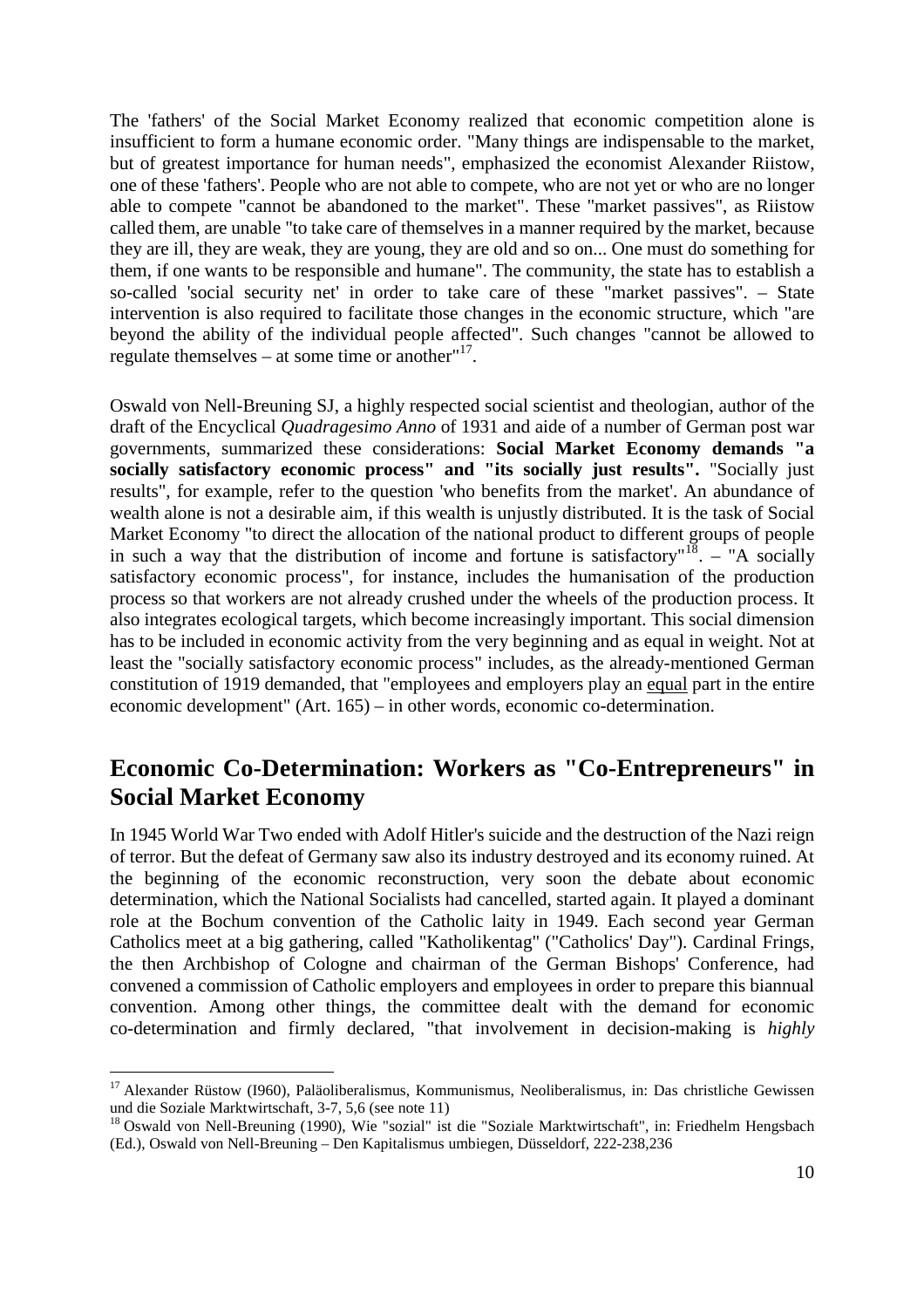<span id="page-9-0"></span>The 'fathers' of the Social Market Economy realized that economic competition alone is insufficient to form a humane economic order. "Many things are indispensable to the market, but of greatest importance for human needs", emphasized the economist Alexander Riistow, one of these 'fathers'. People who are not able to compete, who are not yet or who are no longer able to compete "cannot be abandoned to the market". These "market passives", as Riistow called them, are unable "to take care of themselves in a manner required by the market, because they are ill, they are weak, they are young, they are old and so on... One must do something for them, if one wants to be responsible and humane". The community, the state has to establish a so-called 'social security net' in order to take care of these "market passives". – State intervention is also required to facilitate those changes in the economic structure, which "are beyond the ability of the individual people affected". Such changes "cannot be allowed to regulate themselves  $-$  at some time or another" $17$ .

Oswald von Nell-Breuning SJ, a highly respected social scientist and theologian, author of the draft of the Encyclical *Quadragesimo Anno* of 1931 and aide of a number of German post war governments, summarized these considerations: **Social Market Economy demands "a socially satisfactory economic process" and "its socially just results".** "Socially just results", for example, refer to the question 'who benefits from the market'. An abundance of wealth alone is not a desirable aim, if this wealth is unjustly distributed. It is the task of Social Market Economy "to direct the allocation of the national product to different groups of people in such a way that the distribution of income and fortune is satisfactory<sup> $n\bar{18}$  $n\bar{18}$  $n\bar{18}$ </sup>. – "A socially satisfactory economic process", for instance, includes the humanisation of the production process so that workers are not already crushed under the wheels of the production process. It also integrates ecological targets, which become increasingly important. This social dimension has to be included in economic activity from the very beginning and as equal in weight. Not at least the "socially satisfactory economic process" includes, as the already-mentioned German constitution of 1919 demanded, that "employees and employers play an equal part in the entire economic development" (Art. 165) – in other words, economic co-determination.

#### **Economic Co-Determination: Workers as "Co-Entrepreneurs" in Social Market Economy**

In 1945 World War Two ended with Adolf Hitler's suicide and the destruction of the Nazi reign of terror. But the defeat of Germany saw also its industry destroyed and its economy ruined. At the beginning of the economic reconstruction, very soon the debate about economic determination, which the National Socialists had cancelled, started again. It played a dominant role at the Bochum convention of the Catholic laity in 1949. Each second year German Catholics meet at a big gathering, called "Katholikentag" ("Catholics' Day"). Cardinal Frings, the then Archbishop of Cologne and chairman of the German Bishops' Conference, had convened a commission of Catholic employers and employees in order to prepare this biannual convention. Among other things, the committee dealt with the demand for economic co-determination and firmly declared, "that involvement in decision-making is *highly*

<span id="page-9-1"></span><sup>&</sup>lt;sup>17</sup> Alexander Rüstow (1960), Paläoliberalismus, Kommunismus, Neoliberalismus, in: Das christliche Gewissen und die Soziale Marktwirtschaft, 3-7, 5,6 (see note 11)

<span id="page-9-2"></span><sup>&</sup>lt;sup>18</sup> Oswald von Nell-Breuning (1990), Wie "sozial" ist die "Soziale Marktwirtschaft", in: Friedhelm Hengsbach (Ed.), Oswald von Nell-Breuning – Den Kapitalismus umbiegen, Düsseldorf, 222-238,236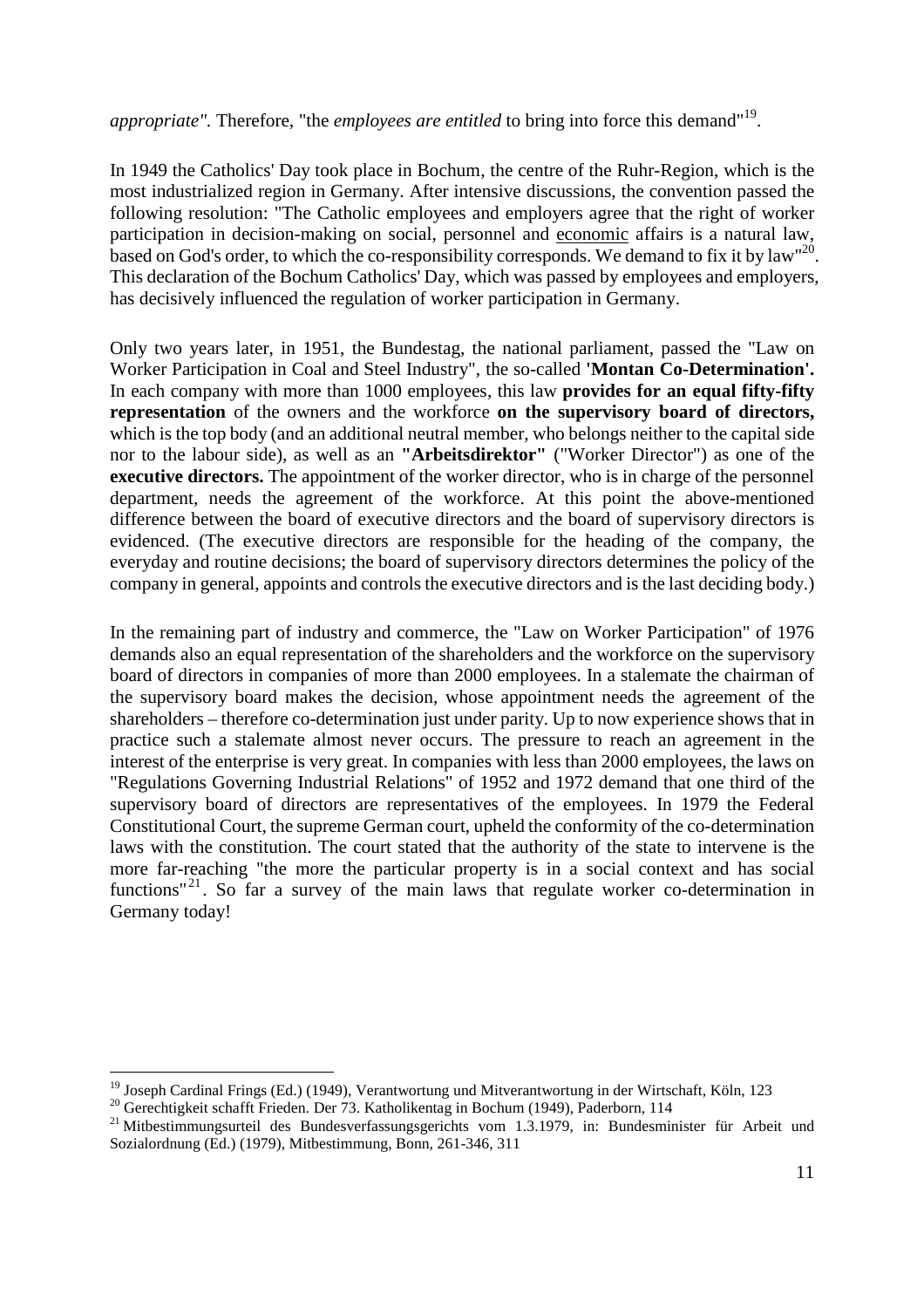*appropriate"*. Therefore, "the *employees are entitled* to bring into force this demand"<sup>[19](#page-10-0)</sup>.

In 1949 the Catholics' Day took place in Bochum, the centre of the Ruhr-Region, which is the most industrialized region in Germany. After intensive discussions, the convention passed the following resolution: "The Catholic employees and employers agree that the right of worker participation in decision-making on social, personnel and economic affairs is a natural law, basedon God's order, to which the co-responsibility corresponds. We demand to fix it by law["](#page-10-1)<sup>20</sup>. This declaration of the Bochum Catholics' Day, which was passed by employees and employers, has decisively influenced the regulation of worker participation in Germany.

Only two years later, in 1951, the Bundestag, the national parliament, passed the "Law on Worker Participation in Coal and Steel Industry", the so-called **'Montan Co-Determination'.** In each company with more than 1000 employees, this law **provides for an equal fifty-fifty representation** of the owners and the workforce **on the supervisory board of directors,** which is the top body (and an additional neutral member, who belongs neither to the capital side nor to the labour side), as well as an **"Arbeitsdirektor"** ("Worker Director") as one of the **executive directors.** The appointment of the worker director, who is in charge of the personnel department, needs the agreement of the workforce. At this point the above-mentioned difference between the board of executive directors and the board of supervisory directors is evidenced. (The executive directors are responsible for the heading of the company, the everyday and routine decisions; the board of supervisory directors determines the policy of the company in general, appoints and controls the executive directors and is the last deciding body.)

In the remaining part of industry and commerce, the "Law on Worker Participation" of 1976 demands also an equal representation of the shareholders and the workforce on the supervisory board of directors in companies of more than 2000 employees. In a stalemate the chairman of the supervisory board makes the decision, whose appointment needs the agreement of the shareholders – therefore co-determination just under parity. Up to now experience shows that in practice such a stalemate almost never occurs. The pressure to reach an agreement in the interest of the enterprise is very great. In companies with less than 2000 employees, the laws on "Regulations Governing Industrial Relations" of 1952 and 1972 demand that one third of the supervisory board of directors are representatives of the employees. In 1979 the Federal Constitutional Court, the supreme German court, upheld the conformity of the co-determination laws with the constitution. The court stated that the authority of the state to intervene is the more far-reaching "the more the particular property is in a social context and has social functions"<sup>[21](#page-10-2)</sup>. So far a survey of the main laws that regulate worker co-determination in Germany today!

<span id="page-10-0"></span><sup>19</sup> Joseph Cardinal Frings (Ed.) (1949), Verantwortung und Mitverantwortung in der Wirtschaft, Köln, 123

<span id="page-10-1"></span><sup>&</sup>lt;sup>20</sup> Gerechtigkeit schafft Frieden. Der 73. Katholikentag in Bochum (1949), Paderborn, 114

<span id="page-10-2"></span><sup>&</sup>lt;sup>21</sup> Mitbestimmungsurteil des Bundesverfassungsgerichts vom 1.3.1979, in: Bundesminister für Arbeit und Sozialordnung (Ed.) (1979), Mitbestimmung, Bonn, 261-346, 311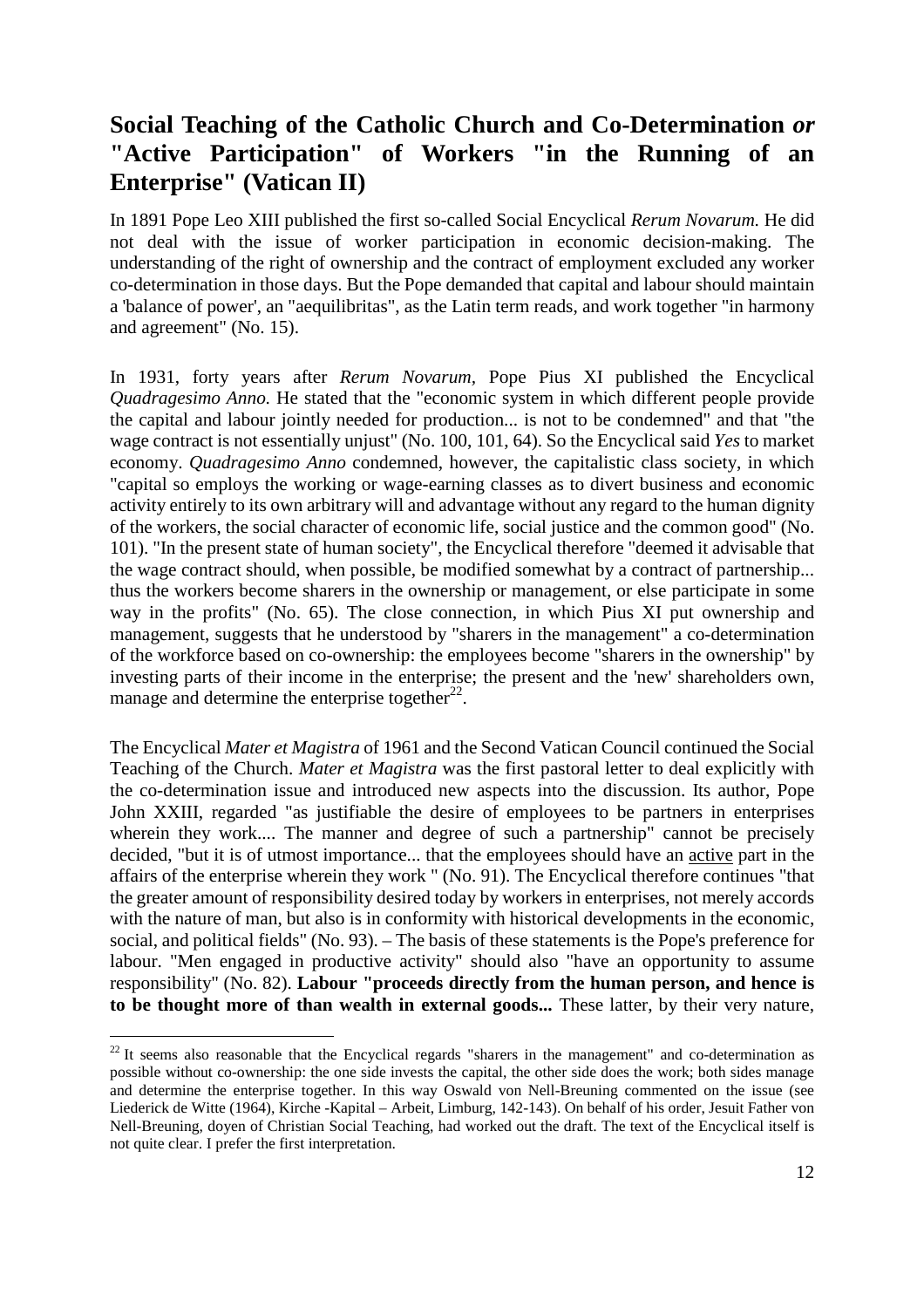### <span id="page-11-0"></span>**Social Teaching of the Catholic Church and Co-Determination** *or* **"Active Participation" of Workers "in the Running of an Enterprise" (Vatican II)**

In 1891 Pope Leo XIII published the first so-called Social Encyclical *Rerum Novarum.* He did not deal with the issue of worker participation in economic decision-making. The understanding of the right of ownership and the contract of employment excluded any worker co-determination in those days. But the Pope demanded that capital and labour should maintain a 'balance of power', an "aequilibritas", as the Latin term reads, and work together "in harmony and agreement" (No. 15).

In 1931, forty years after *Rerum Novarum,* Pope Pius XI published the Encyclical *Quadragesimo Anno.* He stated that the "economic system in which different people provide the capital and labour jointly needed for production... is not to be condemned" and that "the wage contract is not essentially unjust" (No. 100, 101, 64). So the Encyclical said *Yes* to market economy. *Quadragesimo Anno* condemned, however, the capitalistic class society, in which "capital so employs the working or wage-earning classes as to divert business and economic activity entirely to its own arbitrary will and advantage without any regard to the human dignity of the workers, the social character of economic life, social justice and the common good" (No. 101). "In the present state of human society", the Encyclical therefore "deemed it advisable that the wage contract should, when possible, be modified somewhat by a contract of partnership... thus the workers become sharers in the ownership or management, or else participate in some way in the profits" (No. 65). The close connection, in which Pius XI put ownership and management, suggests that he understood by "sharers in the management" a co-determination of the workforce based on co-ownership: the employees become "sharers in the ownership" by investing parts of their income in the enterprise; the present and the 'new' shareholders own, manage and determine the enterprise together $22$ .

The Encyclical *Mater et Magistra* of 1961 and the Second Vatican Council continued the Social Teaching of the Church. *Mater et Magistra* was the first pastoral letter to deal explicitly with the co-determination issue and introduced new aspects into the discussion. Its author, Pope John XXIII, regarded "as justifiable the desire of employees to be partners in enterprises wherein they work.... The manner and degree of such a partnership" cannot be precisely decided, "but it is of utmost importance... that the employees should have an active part in the affairs of the enterprise wherein they work " (No. 91). The Encyclical therefore continues "that the greater amount of responsibility desired today by workers in enterprises, not merely accords with the nature of man, but also is in conformity with historical developments in the economic, social, and political fields" (No. 93). – The basis of these statements is the Pope's preference for labour. "Men engaged in productive activity" should also "have an opportunity to assume responsibility" (No. 82). **Labour "proceeds directly from the human person, and hence is to be thought more of than wealth in external goods...** These latter, by their very nature,

<span id="page-11-1"></span> $22$  It seems also reasonable that the Encyclical regards "sharers in the management" and co-determination as possible without co-ownership: the one side invests the capital, the other side does the work; both sides manage and determine the enterprise together. In this way Oswald von Nell-Breuning commented on the issue (see Liederick de Witte (1964), Kirche -Kapital – Arbeit, Limburg, 142-143). On behalf of his order, Jesuit Father von Nell-Breuning, doyen of Christian Social Teaching, had worked out the draft. The text of the Encyclical itself is not quite clear. I prefer the first interpretation.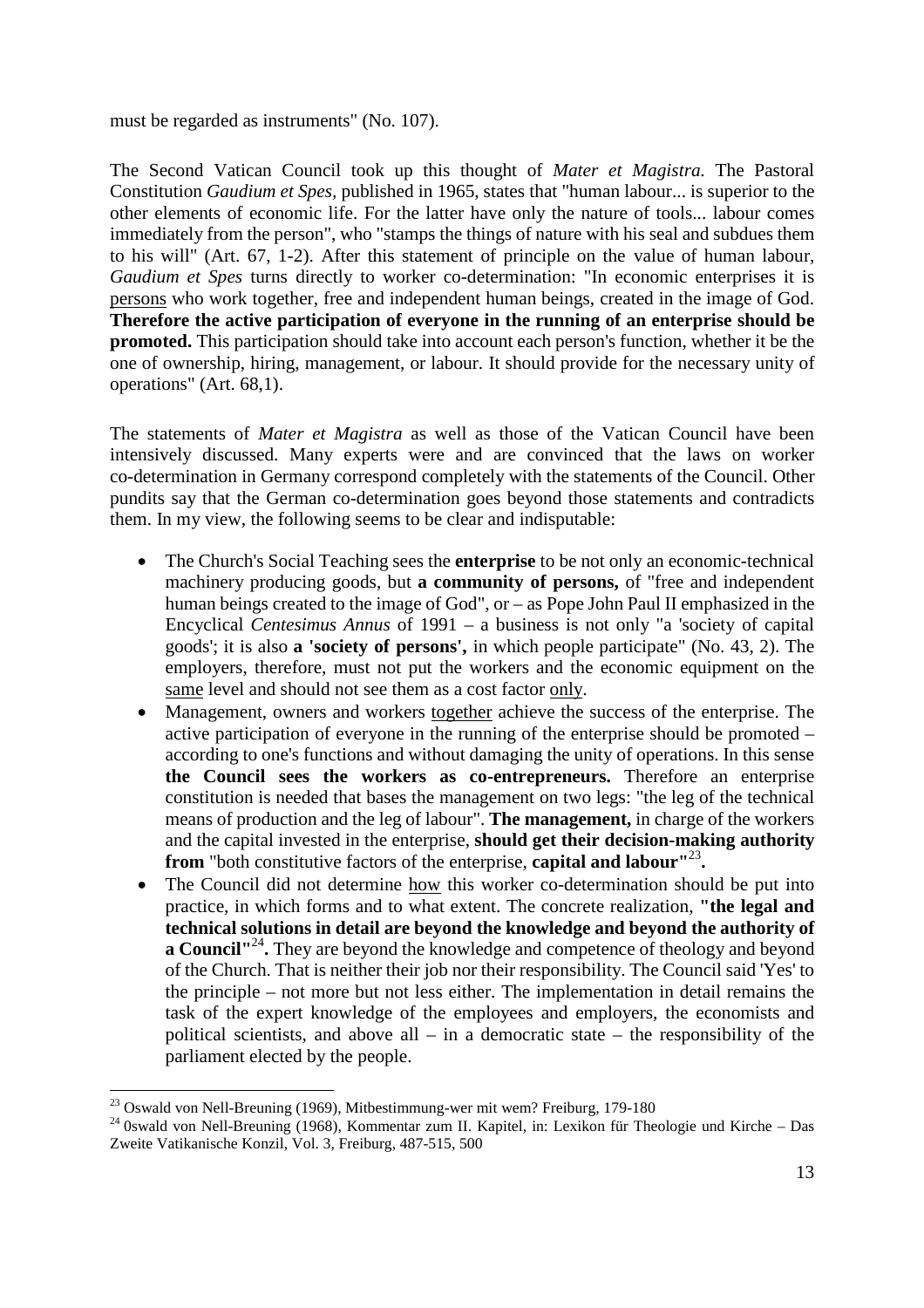#### must be regarded as instruments" (No. 107).

The Second Vatican Council took up this thought of *Mater et Magistra.* The Pastoral Constitution *Gaudium et Spes,* published in 1965, states that "human labour... is superior to the other elements of economic life. For the latter have only the nature of tools... labour comes immediately from the person", who "stamps the things of nature with his seal and subdues them to his will" (Art. 67, 1-2). After this statement of principle on the value of human labour, *Gaudium et Spes* turns directly to worker co-determination: "In economic enterprises it is persons who work together, free and independent human beings, created in the image of God. **Therefore the active participation of everyone in the running of an enterprise should be promoted.** This participation should take into account each person's function, whether it be the one of ownership, hiring, management, or labour. It should provide for the necessary unity of operations" (Art. 68,1).

The statements of *Mater et Magistra* as well as those of the Vatican Council have been intensively discussed. Many experts were and are convinced that the laws on worker co-determination in Germany correspond completely with the statements of the Council. Other pundits say that the German co-determination goes beyond those statements and contradicts them. In my view, the following seems to be clear and indisputable:

- The Church's Social Teaching sees the **enterprise** to be not only an economic-technical machinery producing goods, but **a community of persons,** of "free and independent human beings created to the image of God", or – as Pope John Paul II emphasized in the Encyclical *Centesimus Annus* of 1991 – a business is not only "a 'society of capital goods'; it is also **a 'society of persons',** in which people participate" (No. 43, 2). The employers, therefore, must not put the workers and the economic equipment on the same level and should not see them as a cost factor only.
- Management, owners and workers together achieve the success of the enterprise. The active participation of everyone in the running of the enterprise should be promoted – according to one's functions and without damaging the unity of operations. In this sense **the Council sees the workers as co-entrepreneurs.** Therefore an enterprise constitution is needed that bases the management on two legs: "the leg of the technical means of production and the leg of labour". **The management,** in charge of the workers and the capital invested in the enterprise, **should get their decision-making authority from** "both constitutive factors of the enterprise, **capital and labour"**[23](#page-12-0) **.**
- The Council did not determine how this worker co-determination should be put into practice, in which forms and to what extent. The concrete realization, **"the legal and technical solutions in detail are beyond the knowledge and beyond the authority of a Council<sup>"[24](#page-12-1)</sup>**. They are beyond the knowledge and competence of theology and beyond of the Church. That is neither their job nor their responsibility. The Council said 'Yes' to the principle – not more but not less either. The implementation in detail remains the task of the expert knowledge of the employees and employers, the economists and political scientists, and above all  $-$  in a democratic state  $-$  the responsibility of the parliament elected by the people.

<span id="page-12-0"></span><sup>&</sup>lt;sup>23</sup> Oswald von Nell-Breuning (1969), Mitbestimmung-wer mit wem? Freiburg, 179-180

<span id="page-12-1"></span><sup>&</sup>lt;sup>24</sup> 0swald von Nell-Breuning (1968), Kommentar zum II. Kapitel, in: Lexikon für Theologie und Kirche – Das Zweite Vatikanische Konzil, Vol. 3, Freiburg, 487-515, 500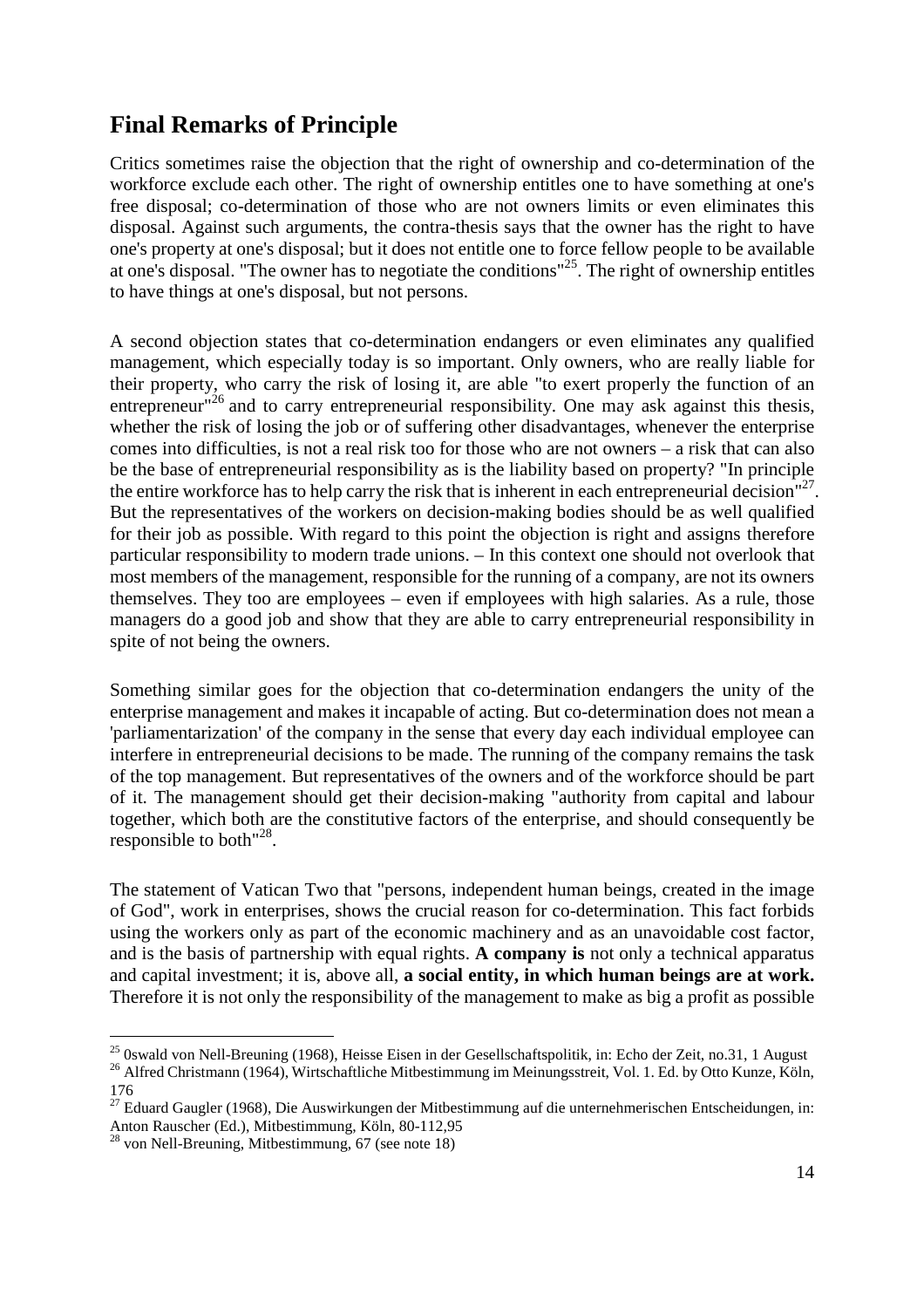### <span id="page-13-0"></span>**Final Remarks of Principle**

Critics sometimes raise the objection that the right of ownership and co-determination of the workforce exclude each other. The right of ownership entitles one to have something at one's free disposal; co-determination of those who are not owners limits or even eliminates this disposal. Against such arguments, the contra-thesis says that the owner has the right to have one's property at one's disposal; but it does not entitle one to force fellow people to be available at one's disposal. "The owner has to negotiate the conditions"<sup>[25](#page-13-1)</sup>. The right of ownership entitles to have things at one's disposal, but not persons.

A second objection states that co-determination endangers or even eliminates any qualified management, which especially today is so important. Only owners, who are really liable for their property, who carry the risk of losing it, are able "to exert properly the function of an entrepreneur<sup>"[26](#page-13-2)</sup> and to carry entrepreneurial responsibility. One may ask against this thesis, whether the risk of losing the job or of suffering other disadvantages, whenever the enterprise comes into difficulties, is not a real risk too for those who are not owners – a risk that can also be the base of entrepreneurial responsibility as is the liability based on property? "In principle the entire workforce has to help carry the risk that is inherent in each entrepreneurial decision"<sup>[27](#page-13-3)</sup>. But the representatives of the workers on decision-making bodies should be as well qualified for their job as possible. With regard to this point the objection is right and assigns therefore particular responsibility to modern trade unions. – In this context one should not overlook that most members of the management, responsible for the running of a company, are not its owners themselves. They too are employees – even if employees with high salaries. As a rule, those managers do a good job and show that they are able to carry entrepreneurial responsibility in spite of not being the owners.

Something similar goes for the objection that co-determination endangers the unity of the enterprise management and makes it incapable of acting. But co-determination does not mean a 'parliamentarization' of the company in the sense that every day each individual employee can interfere in entrepreneurial decisions to be made. The running of the company remains the task of the top management. But representatives of the owners and of the workforce should be part of it. The management should get their decision-making "authority from capital and labour together, which both are the constitutive factors of the enterprise, and should consequently be responsibleto both["](#page-13-4)<sup>28</sup>.

The statement of Vatican Two that "persons, independent human beings, created in the image of God", work in enterprises, shows the crucial reason for co-determination. This fact forbids using the workers only as part of the economic machinery and as an unavoidable cost factor, and is the basis of partnership with equal rights. **A company is** not only a technical apparatus and capital investment; it is, above all, **a social entity, in which human beings are at work.** Therefore it is not only the responsibility of the management to make as big a profit as possible

<span id="page-13-2"></span><span id="page-13-1"></span> $^{25}$  0swald von Nell-Breuning (1968), Heisse Eisen in der Gesellschaftspolitik, in: Echo der Zeit, no.31, 1 August <sup>26</sup> Alfred Christmann (1964), Wirtschaftliche Mitbestimmung im Meinungsstreit, Vol. 1. Ed. by Otto Kunze, Köln,

<span id="page-13-3"></span><sup>176</sup>

 $^{27}$  Eduard Gaugler (1968), Die Auswirkungen der Mitbestimmung auf die unternehmerischen Entscheidungen, in: Anton Rauscher (Ed.), Mitbestimmung, Köln, 80-112,95

<span id="page-13-4"></span> $^{28}$  von Nell-Breuning, Mitbestimmung, 67 (see note 18)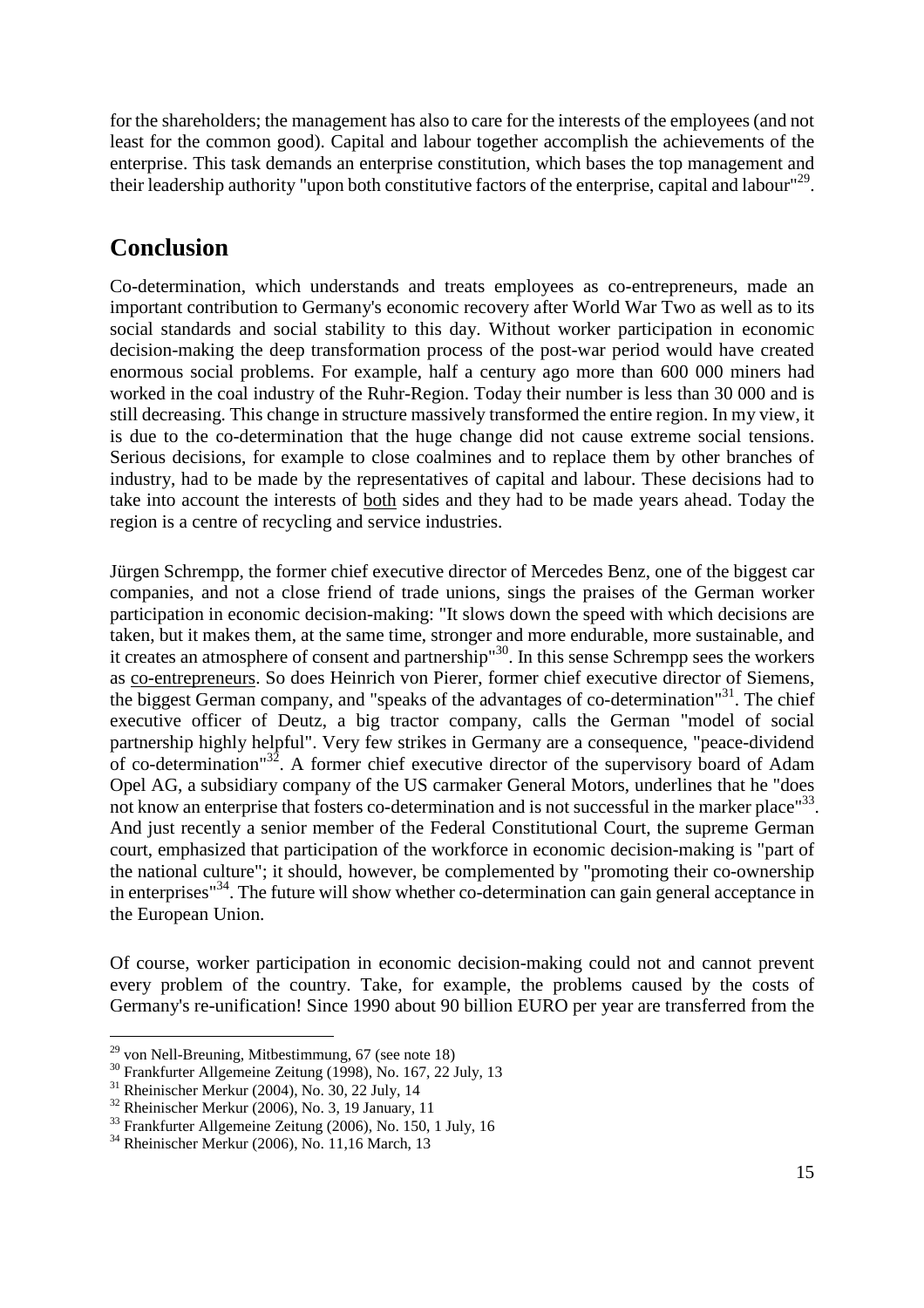<span id="page-14-0"></span>for the shareholders; the management has also to care for the interests of the employees (and not least for the common good). Capital and labour together accomplish the achievements of the enterprise. This task demands an enterprise constitution, which bases the top management and their leadership authority "upon both constitutive factors of the enterprise, capital and labour"<sup>[29](#page-14-1)</sup>.

### **Conclusion**

Co-determination, which understands and treats employees as co-entrepreneurs, made an important contribution to Germany's economic recovery after World War Two as well as to its social standards and social stability to this day. Without worker participation in economic decision-making the deep transformation process of the post-war period would have created enormous social problems. For example, half a century ago more than 600 000 miners had worked in the coal industry of the Ruhr-Region. Today their number is less than 30 000 and is still decreasing. This change in structure massively transformed the entire region. In my view, it is due to the co-determination that the huge change did not cause extreme social tensions. Serious decisions, for example to close coalmines and to replace them by other branches of industry, had to be made by the representatives of capital and labour. These decisions had to take into account the interests of both sides and they had to be made years ahead. Today the region is a centre of recycling and service industries.

Jürgen Schrempp, the former chief executive director of Mercedes Benz, one of the biggest car companies, and not a close friend of trade unions, sings the praises of the German worker participation in economic decision-making: "It slows down the speed with which decisions are taken, but it makes them, at the same time, stronger and more endurable, more sustainable, and it creates an atmosphere of consent and partnership<sup>"[30](#page-14-2)</sup>. In this sense Schrempp sees the workers as co-entrepreneurs. So does Heinrich von Pierer, former chief executive director of Siemens, the biggest German company, and "speaks of the advantages of co-determination"<sup>[31](#page-14-3)</sup>. The chief executive officer of Deutz, a big tractor company, calls the German "model of social partnership highly helpful". Very few strikes in Germany are a consequence, "peace-dividend of co-determination"[32](#page-14-4). A former chief executive director of the supervisory board of Adam Opel AG, a subsidiary company of the US carmaker General Motors, underlines that he "does not know an enterprise that fosters co-determination and is not successful in the marker place"<sup>[33](#page-14-5)</sup>. And just recently a senior member of the Federal Constitutional Court, the supreme German court, emphasized that participation of the workforce in economic decision-making is "part of the national culture"; it should, however, be complemented by "promoting their co-ownership in enterprises<sup> $34$ </sup>. The future will show whether co-determination can gain general acceptance in the European Union.

Of course, worker participation in economic decision-making could not and cannot prevent every problem of the country. Take, for example, the problems caused by the costs of Germany's re-unification! Since 1990 about 90 billion EURO per year are transferred from the

<span id="page-14-1"></span> $^{29}$  von Nell-Breuning, Mitbestimmung, 67 (see note 18)

<span id="page-14-2"></span><sup>30</sup> Frankfurter Allgemeine Zeitung (1998), No. 167, 22 July, 13

<span id="page-14-3"></span> $31$  Rheinischer Merkur (2004), No. 30, 22 July, 14

<span id="page-14-4"></span> $32$  Rheinischer Merkur (2006), No. 3, 19 January, 11

<span id="page-14-5"></span><sup>&</sup>lt;sup>33</sup> Frankfurter Allgemeine Zeitung (2006), No. 150, 1 July, 16

<span id="page-14-6"></span><sup>34</sup> Rheinischer Merkur (2006), No. 11,16 March, 13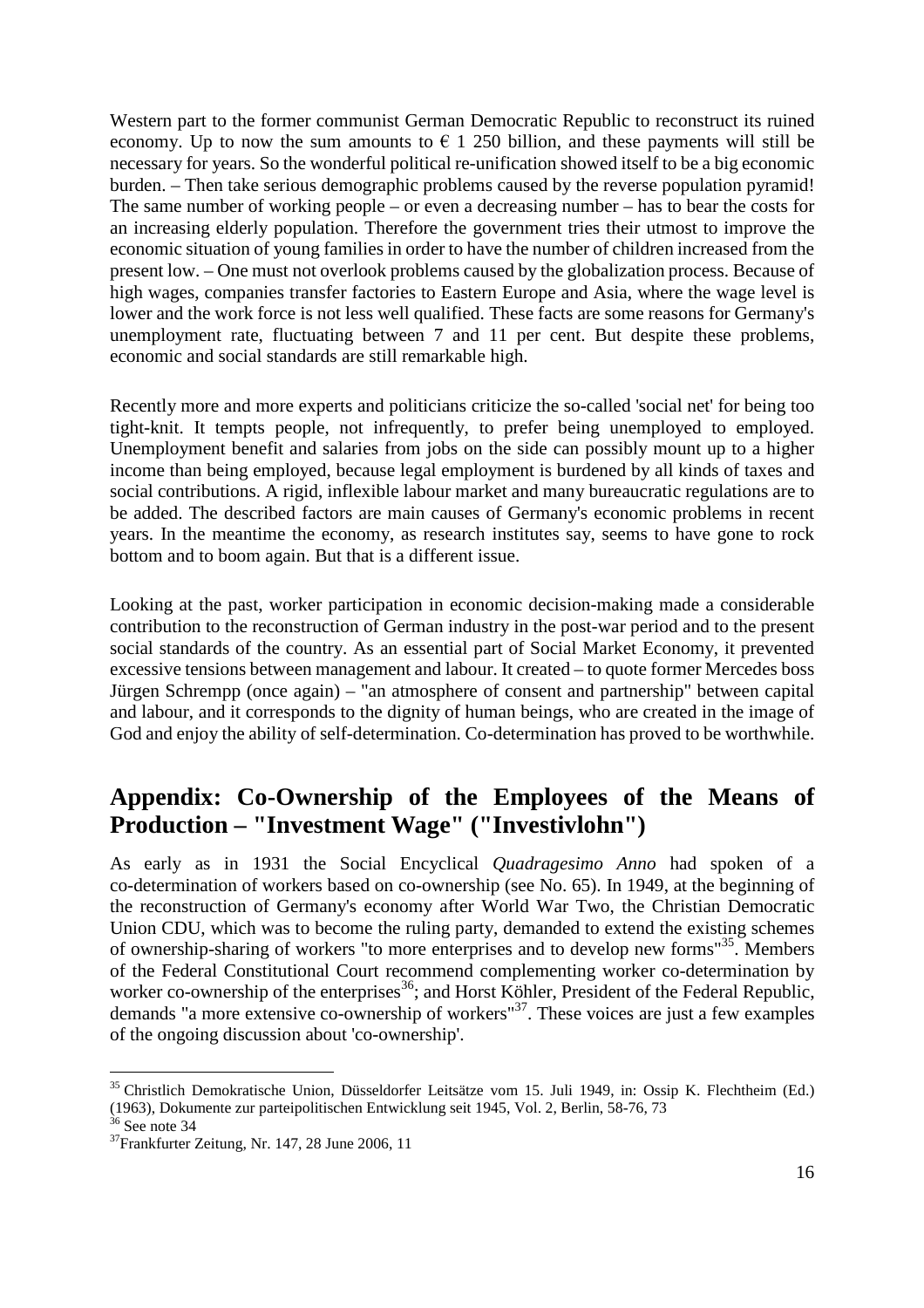<span id="page-15-0"></span>Western part to the former communist German Democratic Republic to reconstruct its ruined economy. Up to now the sum amounts to  $\epsilon$  1 250 billion, and these payments will still be necessary for years. So the wonderful political re-unification showed itself to be a big economic burden. – Then take serious demographic problems caused by the reverse population pyramid! The same number of working people – or even a decreasing number – has to bear the costs for an increasing elderly population. Therefore the government tries their utmost to improve the economic situation of young families in order to have the number of children increased from the present low. – One must not overlook problems caused by the globalization process. Because of high wages, companies transfer factories to Eastern Europe and Asia, where the wage level is lower and the work force is not less well qualified. These facts are some reasons for Germany's unemployment rate, fluctuating between 7 and 11 per cent. But despite these problems, economic and social standards are still remarkable high.

Recently more and more experts and politicians criticize the so-called 'social net' for being too tight-knit. It tempts people, not infrequently, to prefer being unemployed to employed. Unemployment benefit and salaries from jobs on the side can possibly mount up to a higher income than being employed, because legal employment is burdened by all kinds of taxes and social contributions. A rigid, inflexible labour market and many bureaucratic regulations are to be added. The described factors are main causes of Germany's economic problems in recent years. In the meantime the economy, as research institutes say, seems to have gone to rock bottom and to boom again. But that is a different issue.

Looking at the past, worker participation in economic decision-making made a considerable contribution to the reconstruction of German industry in the post-war period and to the present social standards of the country. As an essential part of Social Market Economy, it prevented excessive tensions between management and labour. It created – to quote former Mercedes boss Jürgen Schrempp (once again) – "an atmosphere of consent and partnership" between capital and labour, and it corresponds to the dignity of human beings, who are created in the image of God and enjoy the ability of self-determination. Co-determination has proved to be worthwhile.

## **Appendix: Co-Ownership of the Employees of the Means of Production – "Investment Wage" ("Investivlohn")**

As early as in 1931 the Social Encyclical *Quadragesimo Anno* had spoken of a co-determination of workers based on co-ownership (see No. 65). In 1949, at the beginning of the reconstruction of Germany's economy after World War Two, the Christian Democratic Union CDU, which was to become the ruling party, demanded to extend the existing schemes of ownership-sharing of workers "to more enterprises and to develop new forms"[35](#page-15-1). Members of the Federal Constitutional Court recommend complementing worker co-determination by worker co-ownership of the enterprises<sup>[36](#page-15-2)</sup>; and Horst Köhler, President of the Federal Republic, demands "a more extensive co-ownership of workers"[37](#page-15-3). These voices are just a few examples of the ongoing discussion about 'co-ownership'.

<span id="page-15-1"></span><sup>35</sup> Christlich Demokratische Union, Düsseldorfer Leitsätze vom 15. Juli 1949, in: Ossip K. Flechtheim (Ed.) (1963), Dokumente zur parteipolitischen Entwicklung seit 1945, Vol. 2, Berlin, 58-76, 73

<span id="page-15-2"></span> $36$  See note 34

<span id="page-15-3"></span> $37$ Frankfurter Zeitung, Nr. 147, 28 June 2006, 11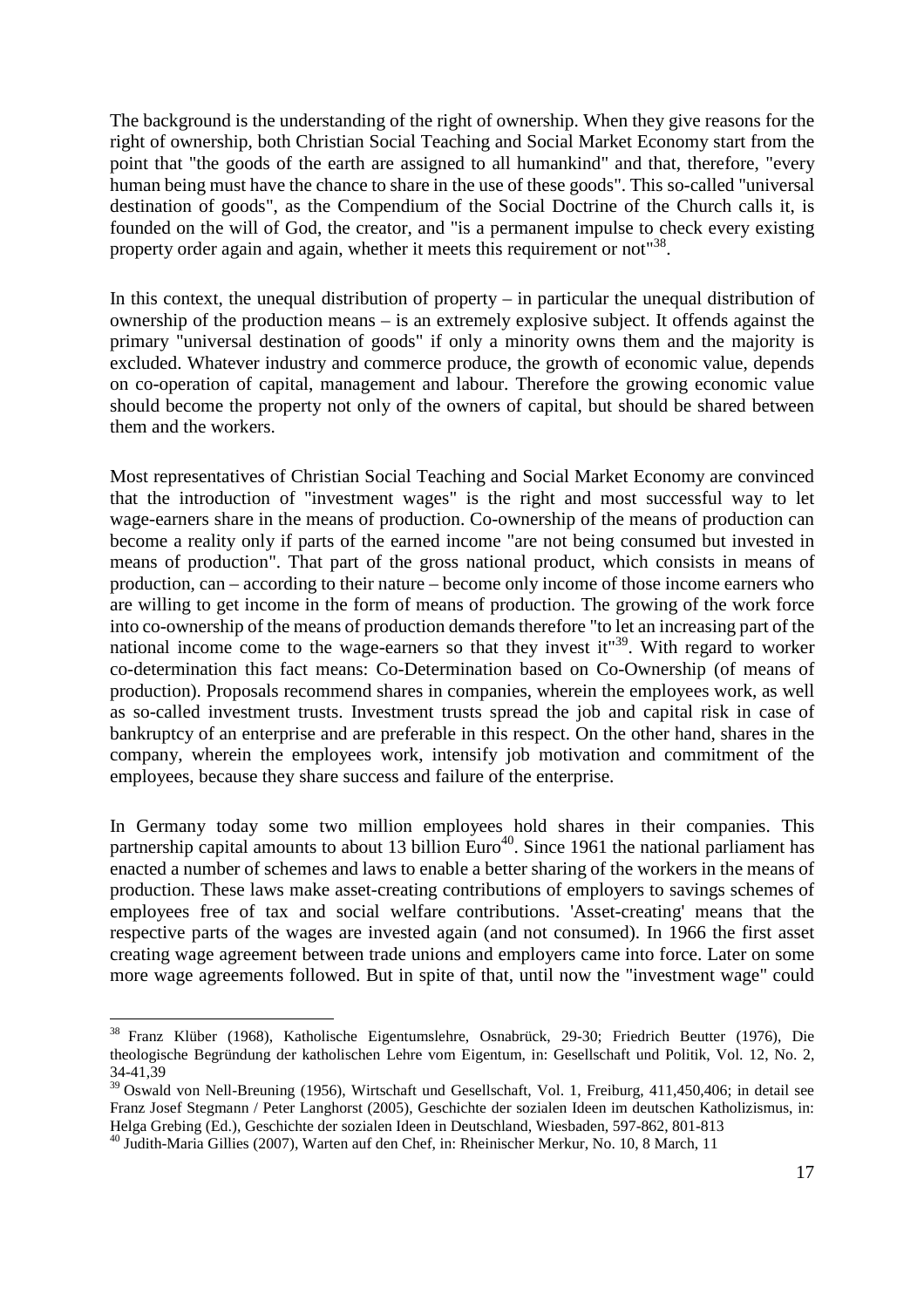The background is the understanding of the right of ownership. When they give reasons for the right of ownership, both Christian Social Teaching and Social Market Economy start from the point that "the goods of the earth are assigned to all humankind" and that, therefore, "every human being must have the chance to share in the use of these goods". This so-called "universal destination of goods", as the Compendium of the Social Doctrine of the Church calls it, is founded on the will of God, the creator, and "is a permanent impulse to check every existing propertyorder again and again, whether it meets this requirement or not<sup>["](#page-16-0)38</sup>.

In this context, the unequal distribution of property – in particular the unequal distribution of ownership of the production means – is an extremely explosive subject. It offends against the primary "universal destination of goods" if only a minority owns them and the majority is excluded. Whatever industry and commerce produce, the growth of economic value, depends on co-operation of capital, management and labour. Therefore the growing economic value should become the property not only of the owners of capital, but should be shared between them and the workers.

Most representatives of Christian Social Teaching and Social Market Economy are convinced that the introduction of "investment wages" is the right and most successful way to let wage-earners share in the means of production. Co-ownership of the means of production can become a reality only if parts of the earned income "are not being consumed but invested in means of production". That part of the gross national product, which consists in means of production, can – according to their nature – become only income of those income earners who are willing to get income in the form of means of production. The growing of the work force into co-ownership of the means of production demands therefore "to let an increasing part of the nationalincome come to the wage-earners so that they invest it["](#page-16-1)<sup>39</sup>. With regard to worker co-determination this fact means: Co-Determination based on Co-Ownership (of means of production). Proposals recommend shares in companies, wherein the employees work, as well as so-called investment trusts. Investment trusts spread the job and capital risk in case of bankruptcy of an enterprise and are preferable in this respect. On the other hand, shares in the company, wherein the employees work, intensify job motivation and commitment of the employees, because they share success and failure of the enterprise.

In Germany today some two million employees hold shares in their companies. This partnershipcapital am[o](#page-16-2)unts to about 13 billion Euro<sup>40</sup>. Since 1961 the national parliament has enacted a number of schemes and laws to enable a better sharing of the workers in the means of production. These laws make asset-creating contributions of employers to savings schemes of employees free of tax and social welfare contributions. 'Asset-creating' means that the respective parts of the wages are invested again (and not consumed). In 1966 the first asset creating wage agreement between trade unions and employers came into force. Later on some more wage agreements followed. But in spite of that, until now the "investment wage" could

<span id="page-16-0"></span><sup>38</sup> Franz Klüber (1968), Katholische Eigentumslehre, Osnabrück, 29-30; Friedrich Beutter (1976), Die theologische Begründung der katholischen Lehre vom Eigentum, in: Gesellschaft und Politik, Vol. 12, No. 2, 34-41,39

<span id="page-16-1"></span><sup>&</sup>lt;sup>39</sup> Oswald von Nell-Breuning (1956), Wirtschaft und Gesellschaft, Vol. 1, Freiburg, 411,450,406; in detail see Franz Josef Stegmann / Peter Langhorst (2005), Geschichte der sozialen Ideen im deutschen Katholizismus, in: Helga Grebing (Ed.), Geschichte der sozialen Ideen in Deutschland, Wiesbaden, 597-862, 801-813

<span id="page-16-2"></span><sup>40</sup> Judith-Maria Gillies (2007), Warten auf den Chef, in: Rheinischer Merkur, No. 10, 8 March, 11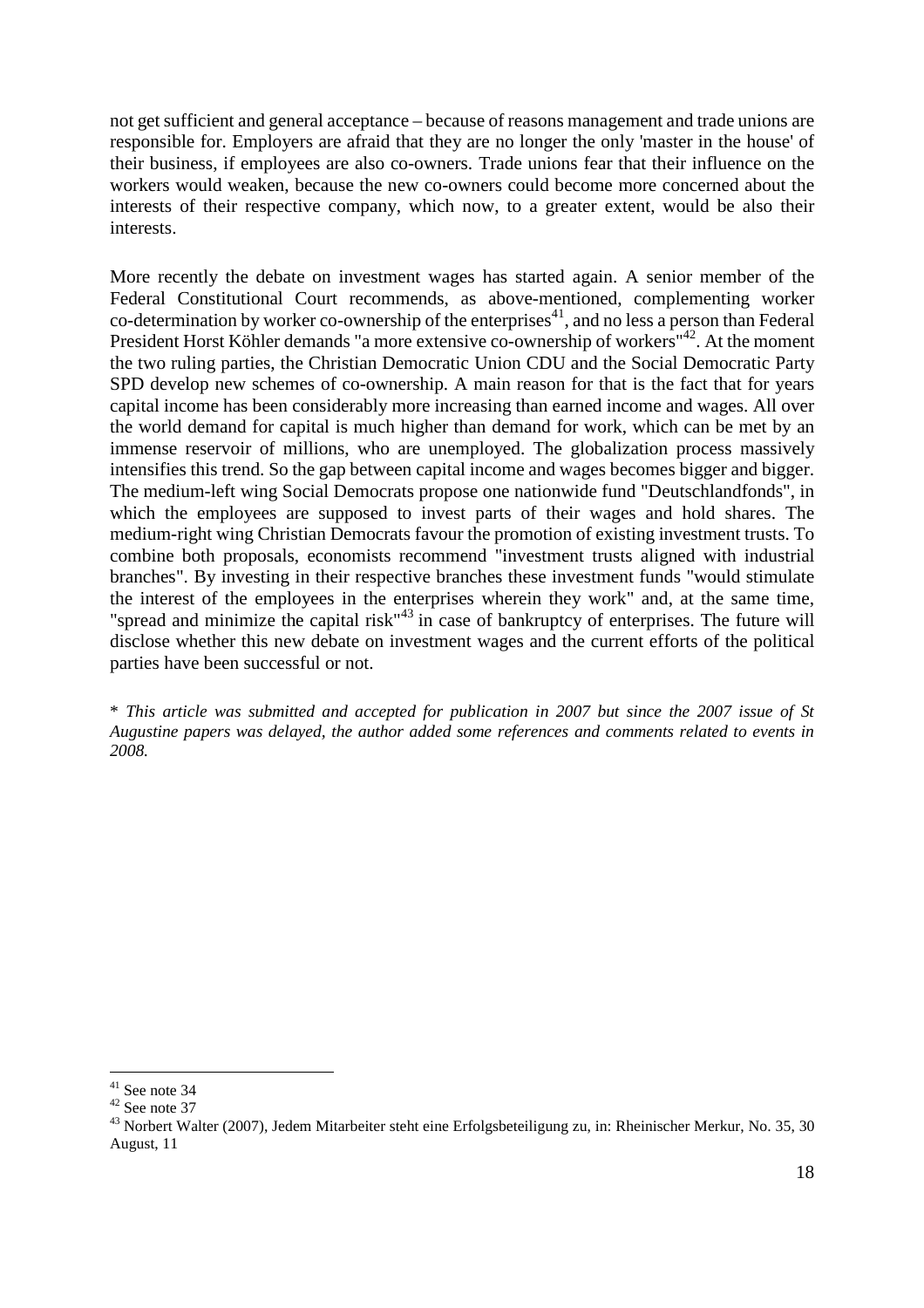not get sufficient and general acceptance – because of reasons management and trade unions are responsible for. Employers are afraid that they are no longer the only 'master in the house' of their business, if employees are also co-owners. Trade unions fear that their influence on the workers would weaken, because the new co-owners could become more concerned about the interests of their respective company, which now, to a greater extent, would be also their interests.

More recently the debate on investment wages has started again. A senior member of the Federal Constitutional Court recommends, as above-mentioned, complementing worker co-determination by worker co-ownership of the enterprises<sup>[41](#page-17-0)</sup>, and no less a person than Federal President Horst Köhler demands "a more extensive co-ownership of workers"<sup>[42](#page-17-1)</sup>. At the moment the two ruling parties, the Christian Democratic Union CDU and the Social Democratic Party SPD develop new schemes of co-ownership. A main reason for that is the fact that for years capital income has been considerably more increasing than earned income and wages. All over the world demand for capital is much higher than demand for work, which can be met by an immense reservoir of millions, who are unemployed. The globalization process massively intensifies this trend. So the gap between capital income and wages becomes bigger and bigger. The medium-left wing Social Democrats propose one nationwide fund "Deutschlandfonds", in which the employees are supposed to invest parts of their wages and hold shares. The medium-right wing Christian Democrats favour the promotion of existing investment trusts. To combine both proposals, economists recommend "investment trusts aligned with industrial branches". By investing in their respective branches these investment funds "would stimulate the interest of the employees in the enterprises wherein they work" and, at the same time, "spreadand minimize the capital risk["](#page-17-2)<sup>43</sup> in case of bankruptcy of enterprises. The future will disclose whether this new debate on investment wages and the current efforts of the political parties have been successful or not.

\* *This article was submitted and accepted for publication in 2007 but since the 2007 issue of St Augustine papers was delayed, the author added some references and comments related to events in 2008.*

<span id="page-17-0"></span> $41$  See note 34

<span id="page-17-1"></span> $42$  See note 37

<span id="page-17-2"></span><sup>&</sup>lt;sup>43</sup> Norbert Walter (2007), Jedem Mitarbeiter steht eine Erfolgsbeteiligung zu, in: Rheinischer Merkur, No. 35, 30 August, 11